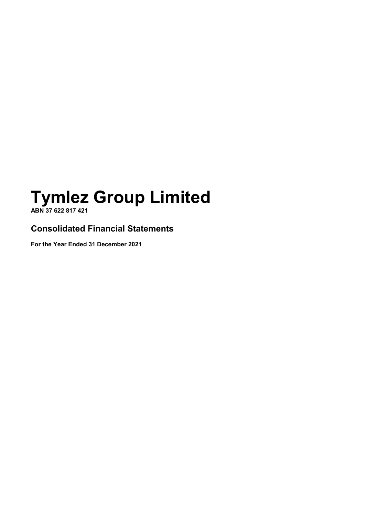**ABN 37 622 817 421**

**Consolidated Financial Statements**

**For the Year Ended 31 December 2021**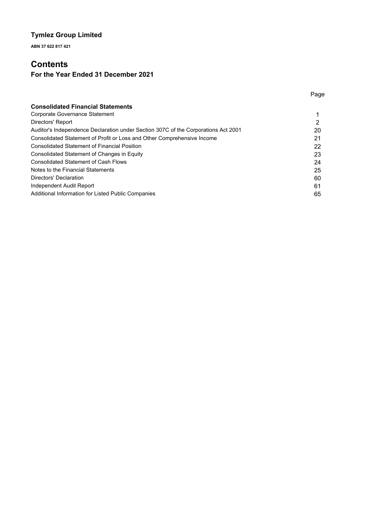**ABN 37 622 817 421**

# **Contents**

# **For the Year Ended 31 December 2021**

| <b>Consolidated Financial Statements</b>                                           |    |
|------------------------------------------------------------------------------------|----|
| Corporate Governance Statement                                                     |    |
| Directors' Report                                                                  | 2  |
| Auditor's Independence Declaration under Section 307C of the Corporations Act 2001 | 20 |
| Consolidated Statement of Profit or Loss and Other Comprehensive Income            | 21 |
| <b>Consolidated Statement of Financial Position</b>                                | 22 |
| Consolidated Statement of Changes in Equity                                        | 23 |
| <b>Consolidated Statement of Cash Flows</b>                                        | 24 |
| Notes to the Financial Statements                                                  | 25 |
| Directors' Declaration                                                             | 60 |
| Independent Audit Report                                                           | 61 |
| Additional Information for Listed Public Companies                                 | 65 |

Page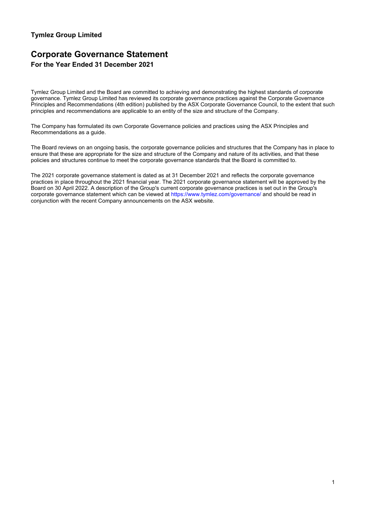# **Corporate Governance Statement For the Year Ended 31 December 2021**

Tymlez Group Limited and the Board are committed to achieving and demonstrating the highest standards of corporate governance. Tymlez Group Limited has reviewed its corporate governance practices against the Corporate Governance Principles and Recommendations (4th edition) published by the ASX Corporate Governance Council, to the extent that such principles and recommendations are applicable to an entity of the size and structure of the Company.

The Company has formulated its own Corporate Governance policies and practices using the ASX Principles and Recommendations as a guide.

The Board reviews on an ongoing basis, the corporate governance policies and structures that the Company has in place to ensure that these are appropriate for the size and structure of the Company and nature of its activities, and that these policies and structures continue to meet the corporate governance standards that the Board is committed to.

The 2021 corporate governance statement is dated as at 31 December 2021 and reflects the corporate governance practices in place throughout the 2021 financial year. The 2021 corporate governance statement will be approved by the Board on 30 April 2022. A description of the Group's current corporate governance practices is set out in the Group's corporate governance statement which can be viewed at https://www.tymlez.com/governance/ and should be read in conjunction with the recent Company announcements on the ASX website.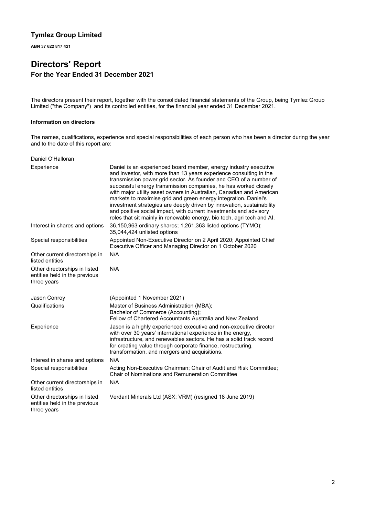**ABN 37 622 817 421**

# **Directors' Report For the Year Ended 31 December 2021**

The directors present their report, together with the consolidated financial statements of the Group, being Tymlez Group Limited ("the Company") and its controlled entities, for the financial year ended 31 December 2021.

### **Information on directors**

The names, qualifications, experience and special responsibilities of each person who has been a director during the year and to the date of this report are:

| Daniel O'Halloran                                                             |                                                                                                                                                                                                                                                                                                                                                                                                                                                                                                                                                                                                                                                   |
|-------------------------------------------------------------------------------|---------------------------------------------------------------------------------------------------------------------------------------------------------------------------------------------------------------------------------------------------------------------------------------------------------------------------------------------------------------------------------------------------------------------------------------------------------------------------------------------------------------------------------------------------------------------------------------------------------------------------------------------------|
| Experience                                                                    | Daniel is an experienced board member, energy industry executive<br>and investor, with more than 13 years experience consulting in the<br>transmission power grid sector. As founder and CEO of a number of<br>successful energy transmission companies, he has worked closely<br>with major utility asset owners in Australian, Canadian and American<br>markets to maximise grid and green energy integration. Daniel's<br>investment strategies are deeply driven by innovation, sustainability<br>and positive social impact, with current investments and advisory<br>roles that sit mainly in renewable energy, bio tech, agri tech and AI. |
| Interest in shares and options                                                | 36,150,963 ordinary shares; 1,261,363 listed options (TYMO);<br>35,044,424 unlisted options                                                                                                                                                                                                                                                                                                                                                                                                                                                                                                                                                       |
| Special responsibilities                                                      | Appointed Non-Executive Director on 2 April 2020; Appointed Chief<br>Executive Officer and Managing Director on 1 October 2020                                                                                                                                                                                                                                                                                                                                                                                                                                                                                                                    |
| Other current directorships in<br>listed entities                             | N/A                                                                                                                                                                                                                                                                                                                                                                                                                                                                                                                                                                                                                                               |
| Other directorships in listed<br>entities held in the previous<br>three years | N/A                                                                                                                                                                                                                                                                                                                                                                                                                                                                                                                                                                                                                                               |
| Jason Conroy                                                                  | (Appointed 1 November 2021)                                                                                                                                                                                                                                                                                                                                                                                                                                                                                                                                                                                                                       |
| Qualifications                                                                | Master of Business Administration (MBA);<br>Bachelor of Commerce (Accounting);<br>Fellow of Chartered Accountants Australia and New Zealand                                                                                                                                                                                                                                                                                                                                                                                                                                                                                                       |
| Experience                                                                    | Jason is a highly experienced executive and non-executive director<br>with over 30 years' international experience in the energy,<br>infrastructure, and renewables sectors. He has a solid track record<br>for creating value through corporate finance, restructuring,<br>transformation, and mergers and acquisitions.                                                                                                                                                                                                                                                                                                                         |
| Interest in shares and options                                                | N/A                                                                                                                                                                                                                                                                                                                                                                                                                                                                                                                                                                                                                                               |
| Special responsibilities                                                      | Acting Non-Executive Chairman; Chair of Audit and Risk Committee;<br>Chair of Nominations and Remuneration Committee                                                                                                                                                                                                                                                                                                                                                                                                                                                                                                                              |
| Other current directorships in<br>listed entities                             | N/A                                                                                                                                                                                                                                                                                                                                                                                                                                                                                                                                                                                                                                               |
| Other directorships in listed<br>entities held in the previous<br>three years | Verdant Minerals Ltd (ASX: VRM) (resigned 18 June 2019)                                                                                                                                                                                                                                                                                                                                                                                                                                                                                                                                                                                           |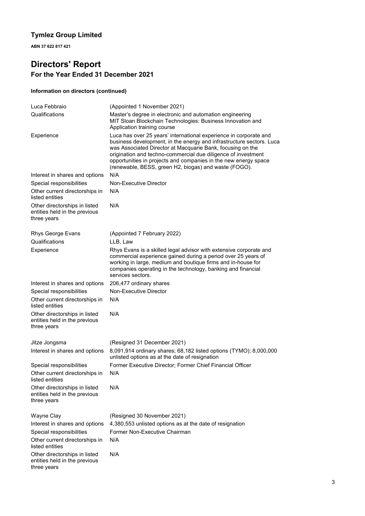**ABN 37 622 817 421**

# **Directors' Report For the Year Ended 31 December 2021**

### **Information on directors (continued)**

| Luca Febbraio                                                                 | (Appointed 1 November 2021)                                                                                                                                                                                                                                                                                                                                                                          |
|-------------------------------------------------------------------------------|------------------------------------------------------------------------------------------------------------------------------------------------------------------------------------------------------------------------------------------------------------------------------------------------------------------------------------------------------------------------------------------------------|
| Qualifications                                                                | Master's degree in electronic and automation engineering<br>MIT Sloan Blockchain Technologies: Business Innovation and<br>Application training course                                                                                                                                                                                                                                                |
| Experience                                                                    | Luca has over 25 years' international experience in corporate and<br>business development, in the energy and infrastructure sectors. Luca<br>was Associated Director at Macquarie Bank, focusing on the<br>origination and techno-commercial due diligence of investment<br>opportunities in projects and companies in the new energy space<br>(renewable, BESS, green H2, biogas) and waste (FOGO). |
| Interest in shares and options                                                | N/A                                                                                                                                                                                                                                                                                                                                                                                                  |
| Special responsibilities                                                      | Non-Executive Director                                                                                                                                                                                                                                                                                                                                                                               |
| Other current directorships in<br>listed entities                             | N/A                                                                                                                                                                                                                                                                                                                                                                                                  |
| Other directorships in listed<br>entities held in the previous<br>three years | N/A                                                                                                                                                                                                                                                                                                                                                                                                  |
| Rhys George Evans                                                             | (Appointed 7 February 2022)                                                                                                                                                                                                                                                                                                                                                                          |
| Qualifications                                                                | LLB, Law                                                                                                                                                                                                                                                                                                                                                                                             |
| Experience                                                                    | Rhys Evans is a skilled legal advisor with extensive corporate and<br>commercial experience gained during a period over 25 years of<br>working in large, medium and boutique firms and in-house for<br>companies operating in the technology, banking and financial<br>services sectors.                                                                                                             |
| Interest in shares and options                                                | 206,477 ordinary shares                                                                                                                                                                                                                                                                                                                                                                              |
| Special responsibilities                                                      | Non-Executive Director                                                                                                                                                                                                                                                                                                                                                                               |
| Other current directorships in<br>listed entities                             | N/A                                                                                                                                                                                                                                                                                                                                                                                                  |
| Other directorships in listed<br>entities held in the previous<br>three years | N/A                                                                                                                                                                                                                                                                                                                                                                                                  |
| Jitze Jongsma                                                                 | (Resigned 31 December 2021)                                                                                                                                                                                                                                                                                                                                                                          |
| Interest in shares and options                                                | 8,091,914 ordinary shares; 68,182 listed options (TYMO); 8,000,000<br>unlisted options as at the date of resignation                                                                                                                                                                                                                                                                                 |
| Special responsibilities                                                      | Former Executive Director; Former Chief Financial Officer                                                                                                                                                                                                                                                                                                                                            |
| Other current directorships in<br>listed entities                             | N/A                                                                                                                                                                                                                                                                                                                                                                                                  |
| Other directorships in listed<br>entities held in the previous<br>three years | N/A                                                                                                                                                                                                                                                                                                                                                                                                  |
| Wayne Clay                                                                    | (Resigned 30 November 2021)                                                                                                                                                                                                                                                                                                                                                                          |
| Interest in shares and options                                                | 4,380,553 unlisted options as at the date of resignation                                                                                                                                                                                                                                                                                                                                             |
| Special responsibilities                                                      | Former Non-Executive Chairman                                                                                                                                                                                                                                                                                                                                                                        |
| Other current directorships in<br>listed entities                             | N/A                                                                                                                                                                                                                                                                                                                                                                                                  |
| Other directorships in listed<br>entities held in the previous<br>three years | N/A                                                                                                                                                                                                                                                                                                                                                                                                  |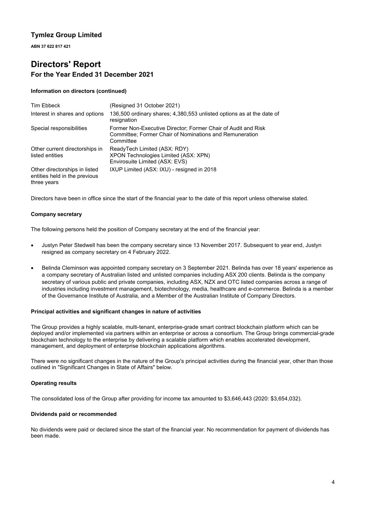**ABN 37 622 817 421**

# **Directors' Report For the Year Ended 31 December 2021**

### **Information on directors (continued)**

| Tim Ebbeck                                                                    | (Resigned 31 October 2021)                                                                                                                   |
|-------------------------------------------------------------------------------|----------------------------------------------------------------------------------------------------------------------------------------------|
| Interest in shares and options                                                | 136,500 ordinary shares; 4,380,553 unlisted options as at the date of<br>resignation                                                         |
| Special responsibilities                                                      | Former Non-Executive Director; Former Chair of Audit and Risk<br><b>Committee: Former Chair of Nominations and Remuneration</b><br>Committee |
| Other current directorships in<br>listed entities                             | ReadyTech Limited (ASX: RDY)<br>XPON Technologies Limited (ASX: XPN)<br>Envirosuite Limited (ASX: EVS)                                       |
| Other directorships in listed<br>entities held in the previous<br>three years | IXUP Limited (ASX: IXU) - resigned in 2018                                                                                                   |

Directors have been in office since the start of the financial year to the date of this report unless otherwise stated.

### **Company secretary**

The following persons held the position of Company secretary at the end of the financial year:

- Justyn Peter Stedwell has been the company secretary since 13 November 2017. Subsequent to year end, Justyn resigned as company secretary on 4 February 2022.
- Belinda Cleminson was appointed company secretary on 3 September 2021. Belinda has over 18 years' experience as a company secretary of Australian listed and unlisted companies including ASX 200 clients. Belinda is the company secretary of various public and private companies, including ASX, NZX and OTC listed companies across a range of industries including investment management, biotechnology, media, healthcare and e-commerce. Belinda is a member of the Governance Institute of Australia, and a Member of the Australian Institute of Company Directors.

### **Principal activities and significant changes in nature of activities**

The Group provides a highly scalable, multi-tenant, enterprise-grade smart contract blockchain platform which can be deployed and/or implemented via partners within an enterprise or across a consortium. The Group brings commercial-grade blockchain technology to the enterprise by delivering a scalable platform which enables accelerated development, management, and deployment of enterprise blockchain applications algorithms.

There were no significant changes in the nature of the Group's principal activities during the financial year, other than those outlined in "Significant Changes in State of Affairs" below.

### **Operating results**

The consolidated loss of the Group after providing for income tax amounted to \$3,646,443 (2020: \$3,654,032).

### **Dividends paid or recommended**

No dividends were paid or declared since the start of the financial year. No recommendation for payment of dividends has been made.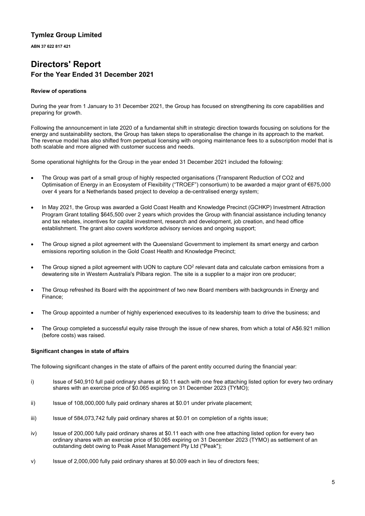**ABN 37 622 817 421**

# **Directors' Report For the Year Ended 31 December 2021**

### **Review of operations**

During the year from 1 January to 31 December 2021, the Group has focused on strengthening its core capabilities and preparing for growth.

Following the announcement in late 2020 of a fundamental shift in strategic direction towards focusing on solutions for the energy and sustainability sectors, the Group has taken steps to operationalise the change in its approach to the market. The revenue model has also shifted from perpetual licensing with ongoing maintenance fees to a subscription model that is both scalable and more aligned with customer success and needs.

Some operational highlights for the Group in the year ended 31 December 2021 included the following:

- The Group was part of a small group of highly respected organisations (Transparent Reduction of CO2 and Optimisation of Energy in an Ecosystem of Flexibility ("TROEF") consortium) to be awarded a major grant of €675,000 over 4 years for a Netherlands based project to develop a de-centralised energy system;
- In May 2021, the Group was awarded a Gold Coast Health and Knowledge Precinct (GCHKP) Investment Attraction Program Grant totalling \$645,500 over 2 years which provides the Group with financial assistance including tenancy and tax rebates, incentives for capital investment, research and development, job creation, and head office establishment. The grant also covers workforce advisory services and ongoing support;
- The Group signed a pilot agreement with the Queensland Government to implement its smart energy and carbon emissions reporting solution in the Gold Coast Health and Knowledge Precinct;
- The Group signed a pilot agreement with UON to capture  $CO<sup>2</sup>$  relevant data and calculate carbon emissions from a dewatering site in Western Australia's Pilbara region. The site is a supplier to a major iron ore producer;
- The Group refreshed its Board with the appointment of two new Board members with backgrounds in Energy and Finance;
- The Group appointed a number of highly experienced executives to its leadership team to drive the business; and
- The Group completed a successful equity raise through the issue of new shares, from which a total of A\$6.921 million (before costs) was raised.

### **Significant changes in state of affairs**

The following significant changes in the state of affairs of the parent entity occurred during the financial year:

- i) Issue of 540,910 full paid ordinary shares at \$0.11 each with one free attaching listed option for every two ordinary shares with an exercise price of \$0.065 expiring on 31 December 2023 (TYMO);
- ii) Issue of 108,000,000 fully paid ordinary shares at \$0.01 under private placement;
- iii) Issue of 584,073,742 fully paid ordinary shares at \$0.01 on completion of a rights issue;
- iv) Issue of 200,000 fully paid ordinary shares at \$0.11 each with one free attaching listed option for every two ordinary shares with an exercise price of \$0.065 expiring on 31 December 2023 (TYMO) as settlement of an outstanding debt owing to Peak Asset Management Pty Ltd ("Peak");
- v) Issue of 2,000,000 fully paid ordinary shares at \$0.009 each in lieu of directors fees;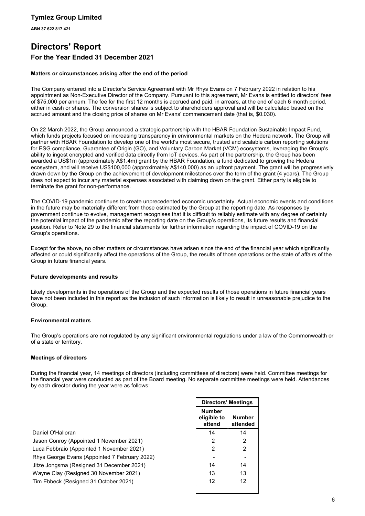**ABN 37 622 817 421**

# **Directors' Report For the Year Ended 31 December 2021**

### **Matters or circumstances arising after the end of the period**

The Company entered into a Director's Service Agreement with Mr Rhys Evans on 7 February 2022 in relation to his appointment as Non-Executive Director of the Company. Pursuant to this agreement, Mr Evans is entitled to directors' fees of \$75,000 per annum. The fee for the first 12 months is accrued and paid, in arrears, at the end of each 6 month period, either in cash or shares. The conversion shares is subject to shareholders approval and will be calculated based on the accrued amount and the closing price of shares on Mr Evans' commencement date (that is, \$0.030).

On 22 March 2022, the Group announced a strategic partnership with the HBAR Foundation Sustainable Impact Fund, which funds projects focused on increasing transparency in environmental markets on the Hedera network. The Group will partner with HBAR Foundation to develop one of the world's most secure, trusted and scalable carbon reporting solutions for ESG compliance, Guarantee of Origin (GO), and Voluntary Carbon Market (VCM) ecosystems, leveraging the Group's ability to ingest encrypted and verified data directly from loT devices. As part of the partnership, the Group has been awarded a US\$1m (approximately A\$1.4m) grant by the HBAR Foundation, a fund dedicated to growing the Hedera ecosystem, and will receive US\$100,000 (approximately A\$140,000) as an upfront payment. The grant will be progressively drawn down by the Group on the achievement of development milestones over the term of the grant (4 years). The Group does not expect to incur any material expenses associated with claiming down on the grant. Either party is eligible to terminate the grant for non-performance.

The COVID-19 pandemic continues to create unprecedented economic uncertainty. Actual economic events and conditions in the future may be materially different from those estimated by the Group at the reporting date. As responses by government continue to evolve, management recognises that it is difficult to reliably estimate with any degree of certainty the potential impact of the pandemic after the reporting date on the Group's operations, its future results and financial position. Refer to Note 29 to the financial statements for further information regarding the impact of COVID-19 on the Group's operations.

Except for the above, no other matters or circumstances have arisen since the end of the financial year which significantly affected or could significantly affect the operations of the Group, the results of those operations or the state of affairs of the Group in future financial years.

### **Future developments and results**

Likely developments in the operations of the Group and the expected results of those operations in future financial years have not been included in this report as the inclusion of such information is likely to result in unreasonable prejudice to the Group.

### **Environmental matters**

The Group's operations are not regulated by any significant environmental regulations under a law of the Commonwealth or of a state or territory.

### **Meetings of directors**

During the financial year, 14 meetings of directors (including committees of directors) were held. Committee meetings for the financial year were conducted as part of the Board meeting. No separate committee meetings were held. Attendances by each director during the year were as follows:

|                                               | <b>Directors' Meetings</b>             |                           |  |
|-----------------------------------------------|----------------------------------------|---------------------------|--|
|                                               | <b>Number</b><br>eligible to<br>attend | <b>Number</b><br>attended |  |
| Daniel O'Halloran                             | 14                                     | 14                        |  |
| Jason Conroy (Appointed 1 November 2021)      | $\overline{2}$                         | 2                         |  |
| Luca Febbraio (Appointed 1 November 2021)     | 2                                      | 2                         |  |
| Rhys George Evans (Appointed 7 February 2022) |                                        |                           |  |
| Jitze Jongsma (Resigned 31 December 2021)     | 14                                     | 14                        |  |
| Wayne Clay (Resigned 30 November 2021)        | 13                                     | 13                        |  |
| Tim Ebbeck (Resigned 31 October 2021)         | 12                                     | 12                        |  |
|                                               |                                        |                           |  |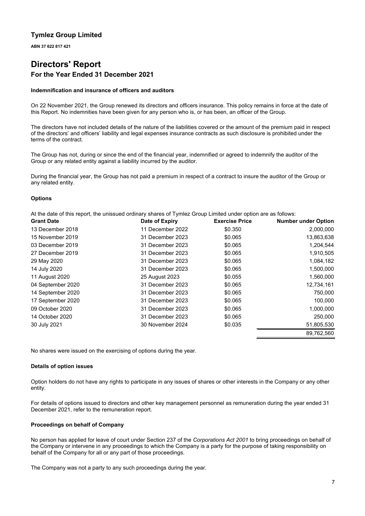**ABN 37 622 817 421**

# **Directors' Report For the Year Ended 31 December 2021**

### **Indemnification and insurance of officers and auditors**

On 22 November 2021, the Group renewed its directors and officers insurance. This policy remains in force at the date of this Report. No indemnities have been given for any person who is, or has been, an officer of the Group.

The directors have not included details of the nature of the liabilities covered or the amount of the premium paid in respect of the directors' and officers' liability and legal expenses insurance contracts as such disclosure is prohibited under the terms of the contract.

The Group has not, during or since the end of the financial year, indemnified or agreed to indemnify the auditor of the Group or any related entity against a liability incurred by the auditor.

During the financial year, the Group has not paid a premium in respect of a contract to insure the auditor of the Group or any related entity.

### **Options**

At the date of this report, the unissued ordinary shares of Tymlez Group Limited under option are as follows:

| <b>Grant Date</b> | Date of Expiry   | <b>Exercise Price</b> | <b>Number under Option</b> |
|-------------------|------------------|-----------------------|----------------------------|
| 13 December 2018  | 11 December 2022 | \$0.350               | 2,000,000                  |
| 15 November 2019  | 31 December 2023 | \$0.065               | 13,863,638                 |
| 03 December 2019  | 31 December 2023 | \$0.065               | 1,204,544                  |
| 27 December 2019  | 31 December 2023 | \$0.065               | 1,910,505                  |
| 29 May 2020       | 31 December 2023 | \$0.065               | 1,084,182                  |
| 14 July 2020      | 31 December 2023 | \$0.065               | 1,500,000                  |
| 11 August 2020    | 25 August 2023   | \$0.055               | 1,560,000                  |
| 04 September 2020 | 31 December 2023 | \$0.065               | 12,734,161                 |
| 14 September 2020 | 31 December 2023 | \$0.065               | 750,000                    |
| 17 September 2020 | 31 December 2023 | \$0.065               | 100,000                    |
| 09 October 2020   | 31 December 2023 | \$0.065               | 1,000,000                  |
| 14 October 2020   | 31 December 2023 | \$0.065               | 250,000                    |
| 30 July 2021      | 30 November 2024 | \$0.035               | 51,805,530                 |
|                   |                  |                       | 89,762,560                 |

No shares were issued on the exercising of options during the year.

### **Details of option issues**

Option holders do not have any rights to participate in any issues of shares or other interests in the Company or any other entity.

For details of options issued to directors and other key management personnel as remuneration during the year ended 31 December 2021, refer to the remuneration report.

### **Proceedings on behalf of Company**

No person has applied for leave of court under Section 237 of the *Corporations Act 2001* to bring proceedings on behalf of the Company or intervene in any proceedings to which the Company is a party for the purpose of taking responsibility on behalf of the Company for all or any part of those proceedings.

The Company was not a party to any such proceedings during the year.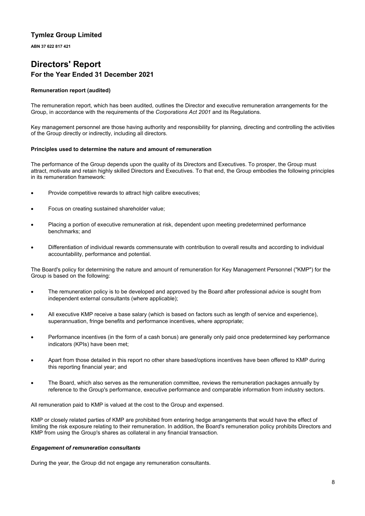**ABN 37 622 817 421**

# **Directors' Report For the Year Ended 31 December 2021**

### **Remuneration report (audited)**

The remuneration report, which has been audited, outlines the Director and executive remuneration arrangements for the Group, in accordance with the requirements of the *Corporations Act 2001* and its Regulations.

Key management personnel are those having authority and responsibility for planning, directing and controlling the activities of the Group directly or indirectly, including all directors.

### **Principles used to determine the nature and amount of remuneration**

The performance of the Group depends upon the quality of its Directors and Executives. To prosper, the Group must attract, motivate and retain highly skilled Directors and Executives. To that end, the Group embodies the following principles in its remuneration framework:

- Provide competitive rewards to attract high calibre executives;
- Focus on creating sustained shareholder value;
- Placing a portion of executive remuneration at risk, dependent upon meeting predetermined performance benchmarks; and
- Differentiation of individual rewards commensurate with contribution to overall results and according to individual accountability, performance and potential.

The Board's policy for determining the nature and amount of remuneration for Key Management Personnel ("KMP") for the Group is based on the following:

- The remuneration policy is to be developed and approved by the Board after professional advice is sought from independent external consultants (where applicable);
- All executive KMP receive a base salary (which is based on factors such as length of service and experience), superannuation, fringe benefits and performance incentives, where appropriate;
- Performance incentives (in the form of a cash bonus) are generally only paid once predetermined key performance indicators (KPIs) have been met;
- Apart from those detailed in this report no other share based/options incentives have been offered to KMP during this reporting financial year; and
- The Board, which also serves as the remuneration committee, reviews the remuneration packages annually by reference to the Group's performance, executive performance and comparable information from industry sectors.

All remuneration paid to KMP is valued at the cost to the Group and expensed.

KMP or closely related parties of KMP are prohibited from entering hedge arrangements that would have the effect of limiting the risk exposure relating to their remuneration. In addition, the Board's remuneration policy prohibits Directors and KMP from using the Group's shares as collateral in any financial transaction.

### *Engagement of remuneration consultants*

During the year, the Group did not engage any remuneration consultants.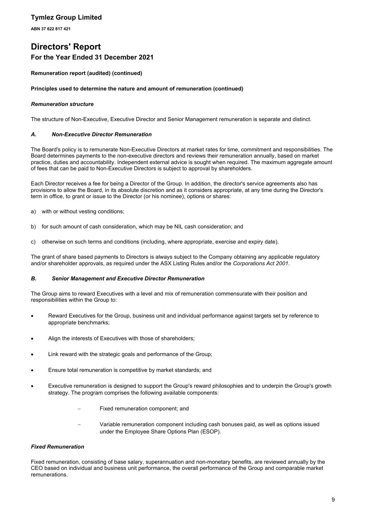**ABN 37 622 817 421**

# **Directors' Report For the Year Ended 31 December 2021**

### **Remuneration report (audited) (continued)**

### **Principles used to determine the nature and amount of remuneration (continued)**

### *Remuneration structure*

The structure of Non-Executive, Executive Director and Senior Management remuneration is separate and distinct.

### *A. Non-Executive Director Remuneration*

The Board's policy is to remunerate Non-Executive Directors at market rates for time, commitment and responsibilities. The Board determines payments to the non-executive directors and reviews their remuneration annually, based on market practice, duties and accountability. Independent external advice is sought when required. The maximum aggregate amount of fees that can be paid to Non-Executive Directors is subject to approval by shareholders.

Each Director receives a fee for being a Director of the Group. In addition, the director's service agreements also has provisions to allow the Board, in its absolute discretion and as it considers appropriate, at any time during the Director's term in office, to grant or issue to the Director (or his nominee), options or shares:

- a) with or without vesting conditions;
- b) for such amount of cash consideration, which may be NIL cash consideration; and
- c) otherwise on such terms and conditions (including, where appropriate, exercise and expiry date).

The grant of share based payments to Directors is always subject to the Company obtaining any applicable regulatory and/or shareholder approvals, as required under the ASX Listing Rules and/or the *Corporations Act 2001*.

### *B. Senior Management and Executive Director Remuneration*

The Group aims to reward Executives with a level and mix of remuneration commensurate with their position and responsibilities within the Group to:

- Reward Executives for the Group, business unit and individual performance against targets set by reference to appropriate benchmarks;
- Align the interests of Executives with those of shareholders;
- Link reward with the strategic goals and performance of the Group;
- Ensure total remuneration is competitive by market standards; and
- Executive remuneration is designed to support the Group's reward philosophies and to underpin the Group's growth strategy. The program comprises the following available components:
	- Fixed remuneration component; and
	- Variable remuneration component including cash bonuses paid, as well as options issued under the Employee Share Options Plan (ESOP).

### *Fixed Remuneration*

Fixed remuneration, consisting of base salary, superannuation and non-monetary benefits, are reviewed annually by the CEO based on individual and business unit performance, the overall performance of the Group and comparable market remunerations.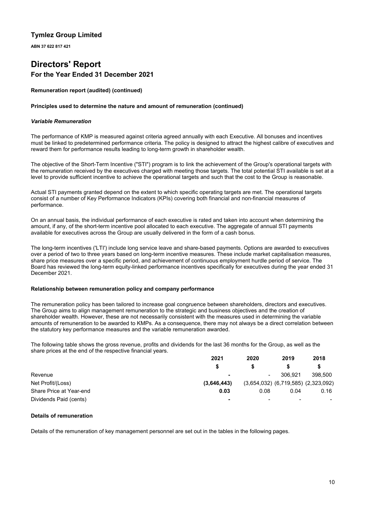**ABN 37 622 817 421**

# **Directors' Report For the Year Ended 31 December 2021**

### **Remuneration report (audited) (continued)**

### **Principles used to determine the nature and amount of remuneration (continued)**

### *Variable Remuneration*

The performance of KMP is measured against criteria agreed annually with each Executive. All bonuses and incentives must be linked to predetermined performance criteria. The policy is designed to attract the highest calibre of executives and reward them for performance results leading to long-term growth in shareholder wealth.

The objective of the Short-Term Incentive ("STI") program is to link the achievement of the Group's operational targets with the remuneration received by the executives charged with meeting those targets. The total potential STI available is set at a level to provide sufficient incentive to achieve the operational targets and such that the cost to the Group is reasonable.

Actual STI payments granted depend on the extent to which specific operating targets are met. The operational targets consist of a number of Key Performance Indicators (KPIs) covering both financial and non-financial measures of performance.

On an annual basis, the individual performance of each executive is rated and taken into account when determining the amount, if any, of the short-term incentive pool allocated to each executive. The aggregate of annual STI payments available for executives across the Group are usually delivered in the form of a cash bonus.

The long-term incentives ('LTI') include long service leave and share-based payments. Options are awarded to executives over a period of two to three years based on long-term incentive measures. These include market capitalisation measures, share price measures over a specific period, and achievement of continuous employment hurdle period of service. The Board has reviewed the long-term equity-linked performance incentives specifically for executives during the year ended 31 December 2021.

### **Relationship between remuneration policy and company performance**

The remuneration policy has been tailored to increase goal congruence between shareholders, directors and executives. The Group aims to align management remuneration to the strategic and business objectives and the creation of shareholder wealth. However, these are not necessarily consistent with the measures used in determining the variable amounts of remuneration to be awarded to KMPs. As a consequence, there may not always be a direct correlation between the statutory key performance measures and the variable remuneration awarded.

The following table shows the gross revenue, profits and dividends for the last 36 months for the Group, as well as the share prices at the end of the respective financial years.

|                         | 2021        | 2020                     | 2019           | 2018                                      |
|-------------------------|-------------|--------------------------|----------------|-------------------------------------------|
|                         |             |                          |                |                                           |
| Revenue                 |             | $\blacksquare$           | 306.921        | 398,500                                   |
| Net Profit/(Loss)       | (3.646.443) |                          |                | $(3,654,032)$ $(6,719,585)$ $(2,323,092)$ |
| Share Price at Year-end | 0.03        | 0.08                     | 0.04           | 0.16                                      |
| Dividends Paid (cents)  |             | $\overline{\phantom{a}}$ | $\blacksquare$ | н.                                        |

### **Details of remuneration**

Details of the remuneration of key management personnel are set out in the tables in the following pages.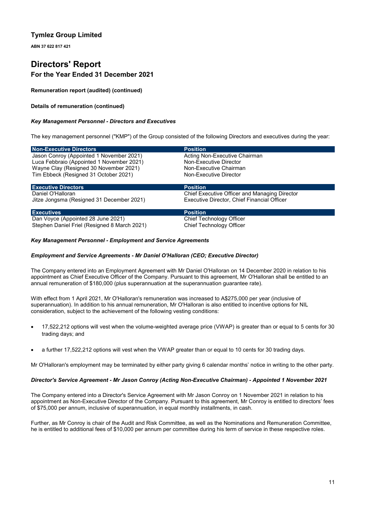**ABN 37 622 817 421**

# **Directors' Report For the Year Ended 31 December 2021**

**Remuneration report (audited) (continued)**

### **Details of remuneration (continued)**

### *Key Management Personnel - Directors and Executives*

The key management personnel ("KMP") of the Group consisted of the following Directors and executives during the year:

| <b>Non-Executive Directors</b>               | <b>Position</b>                               |
|----------------------------------------------|-----------------------------------------------|
| Jason Conroy (Appointed 1 November 2021)     | Acting Non-Executive Chairman                 |
| Luca Febbraio (Appointed 1 November 2021)    | Non-Executive Director                        |
| Wayne Clay (Resigned 30 November 2021)       | Non-Executive Chairman                        |
| Tim Ebbeck (Resigned 31 October 2021)        | Non-Executive Director                        |
| <b>Executive Directors</b>                   | <b>Position</b>                               |
| Daniel O'Halloran                            | Chief Executive Officer and Managing Director |
| Jitze Jongsma (Resigned 31 December 2021)    | Executive Director, Chief Financial Officer   |
| <b>Executives</b>                            | <b>Position</b>                               |
| Dan Voyce (Appointed 28 June 2021)           | Chief Technology Officer                      |
| Stephen Daniel Friel (Resigned 8 March 2021) | Chief Technology Officer                      |

### *Key Management Personnel - Employment and Service Agreements*

### *Employment and Service Agreements - Mr Daniel O'Halloran (CEO; Executive Director)*

The Company entered into an Employment Agreement with Mr Daniel O'Halloran on 14 December 2020 in relation to his appointment as Chief Executive Officer of the Company. Pursuant to this agreement, Mr O'Halloran shall be entitled to an annual remuneration of \$180,000 (plus superannuation at the superannuation guarantee rate).

With effect from 1 April 2021, Mr O'Halloran's remuneration was increased to A\$275,000 per year (inclusive of superannuation). In addition to his annual remuneration, Mr O'Halloran is also entitled to incentive options for NIL consideration, subject to the achievement of the following vesting conditions:

- 17,522,212 options will vest when the volume-weighted average price (VWAP) is greater than or equal to 5 cents for 30 trading days; and
- a further 17,522,212 options will vest when the VWAP greater than or equal to 10 cents for 30 trading days.

Mr O'Halloran's employment may be terminated by either party giving 6 calendar months' notice in writing to the other party.

### *Director's Service Agreement - Mr Jason Conroy (Acting Non-Executive Chairman) - Appointed 1 November 2021*

The Company entered into a Director's Service Agreement with Mr Jason Conroy on 1 November 2021 in relation to his appointment as Non-Executive Director of the Company. Pursuant to this agreement, Mr Conroy is entitled to directors' fees of \$75,000 per annum, inclusive of superannuation, in equal monthly installments, in cash.

Further, as Mr Conroy is chair of the Audit and Risk Committee, as well as the Nominations and Remuneration Committee, he is entitled to additional fees of \$10,000 per annum per committee during his term of service in these respective roles.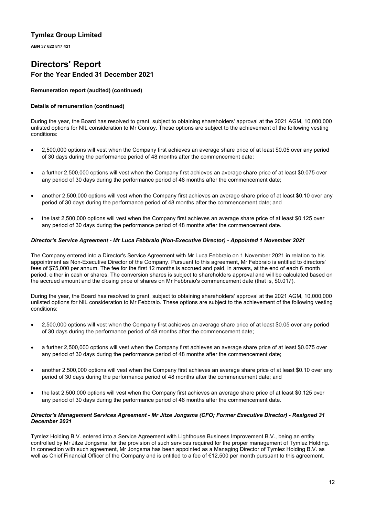**ABN 37 622 817 421**

# **Directors' Report For the Year Ended 31 December 2021**

### **Remuneration report (audited) (continued)**

### **Details of remuneration (continued)**

During the year, the Board has resolved to grant, subject to obtaining shareholders' approval at the 2021 AGM, 10,000,000 unlisted options for NIL consideration to Mr Conroy. These options are subject to the achievement of the following vesting conditions:

- 2,500,000 options will vest when the Company first achieves an average share price of at least \$0.05 over any period of 30 days during the performance period of 48 months after the commencement date;
- a further 2,500,000 options will vest when the Company first achieves an average share price of at least \$0.075 over any period of 30 days during the performance period of 48 months after the commencement date;
- another 2,500,000 options will vest when the Company first achieves an average share price of at least \$0.10 over any period of 30 days during the performance period of 48 months after the commencement date; and
- the last 2,500,000 options will vest when the Company first achieves an average share price of at least \$0.125 over any period of 30 days during the performance period of 48 months after the commencement date.

### *Director's Service Agreement - Mr Luca Febbraio (Non-Executive Director) - Appointed 1 November 2021*

The Company entered into a Director's Service Agreement with Mr Luca Febbraio on 1 November 2021 in relation to his appointment as Non-Executive Director of the Company. Pursuant to this agreement, Mr Febbraio is entitled to directors' fees of \$75,000 per annum. The fee for the first 12 months is accrued and paid, in arrears, at the end of each 6 month period, either in cash or shares. The conversion shares is subject to shareholders approval and will be calculated based on the accrued amount and the closing price of shares on Mr Febbraio's commencement date (that is, \$0.017).

During the year, the Board has resolved to grant, subject to obtaining shareholders' approval at the 2021 AGM, 10,000,000 unlisted options for NIL consideration to Mr Febbraio. These options are subject to the achievement of the following vesting conditions:

- 2,500,000 options will vest when the Company first achieves an average share price of at least \$0.05 over any period of 30 days during the performance period of 48 months after the commencement date;
- a further 2,500,000 options will vest when the Company first achieves an average share price of at least \$0.075 over any period of 30 days during the performance period of 48 months after the commencement date;
- another 2,500,000 options will vest when the Company first achieves an average share price of at least \$0.10 over any period of 30 days during the performance period of 48 months after the commencement date; and
- the last 2,500,000 options will vest when the Company first achieves an average share price of at least \$0.125 over any period of 30 days during the performance period of 48 months after the commencement date.

### *Director's Management Services Agreement - Mr Jitze Jongsma (CFO; Former Executive Director) - Resigned 31 December 2021*

Tymlez Holding B.V. entered into a Service Agreement with Lighthouse Business Improvement B.V., being an entity controlled by Mr Jitze Jongsma, for the provision of such services required for the proper management of Tymlez Holding. In connection with such agreement, Mr Jongsma has been appointed as a Managing Director of Tymlez Holding B.V. as well as Chief Financial Officer of the Company and is entitled to a fee of €12,500 per month pursuant to this agreement.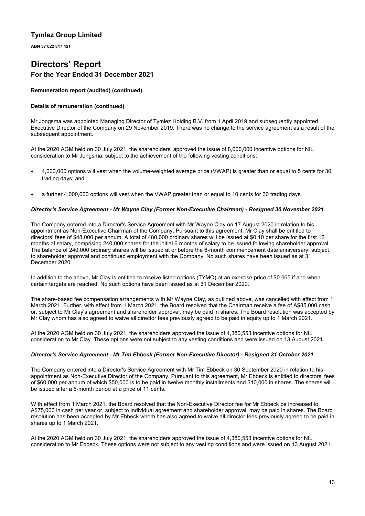**ABN 37 622 817 421**

# **Directors' Report For the Year Ended 31 December 2021**

### **Remuneration report (audited) (continued)**

### **Details of remuneration (continued)**

Mr Jongsma was appointed Managing Director of Tymlez Holding B.V. from 1 April 2019 and subsequently appointed Executive Director of the Company on 29 November 2019. There was no change to the service agreement as a result of the subsequent appointment.

At the 2020 AGM held on 30 July 2021, the shareholders' approved the issue of 8,000,000 incentive options for NIL consideration to Mr Jongsma, subject to the achievement of the following vesting conditions:

- 4,000,000 options will vest when the volume-weighted average price (VWAP) is greater than or equal to 5 cents for 30 trading days; and
- a further 4,000,000 options will vest when the VWAP greater than or equal to 10 cents for 30 trading days.

### *Director's Service Agreement - Mr Wayne Clay (Former Non-Executive Chairman) - Resigned 30 November 2021*

The Company entered into a Director's Service Agreement with Mr Wayne Clay on 17 August 2020 in relation to his appointment as Non-Executive Chairman of the Company. Pursuant to this agreement, Mr Clay shall be entitled to directors' fees of \$48,000 per annum. A total of 480,000 ordinary shares will be issued at \$0.10 per share for the first 12 months of salary, comprising 240,000 shares for the initial 6 months of salary to be issued following shareholder approval. The balance of 240,000 ordinary shares will be issued at or before the 6-month commencement date anniversary, subject to shareholder approval and continued employment with the Company. No such shares have been issued as at 31 December 2020.

In addition to the above, Mr Clay is entitled to receive listed options (TYMO) at an exercise price of \$0.065 if and when certain targets are reached. No such options have been issued as at 31 December 2020.

The share-based fee compensation arrangements with Mr Wayne Clay, as outlined above, was cancelled with effect from 1 March 2021. Further, with effect from 1 March 2021, the Board resolved that the Chairman receive a fee of A\$85,000 cash or, subject to Mr Clay's agreement and shareholder approval, may be paid in shares. The Board resolution was accepted by Mr Clay whom has also agreed to waive all director fees previously agreed to be paid in equity up to 1 March 2021.

At the 2020 AGM held on 30 July 2021, the shareholders approved the issue of 4,380,553 incentive options for NIL consideration to Mr Clay. These options were not subject to any vesting conditions and were issued on 13 August 2021.

### *Director's Service Agreement - Mr Tim Ebbeck (Former Non-Executive Director) - Resigned 31 October 2021*

The Company entered into a Director's Service Agreement with Mr Tim Ebbeck on 30 September 2020 in relation to his appointment as Non-Executive Director of the Company. Pursuant to this agreement, Mr Ebbeck is entitled to directors' fees of \$60,000 per annum of which \$50,000 is to be paid in twelve monthly installments and \$10,000 in shares. The shares will be issued after a 6-month period at a price of 11 cents.

With effect from 1 March 2021, the Board resolved that the Non-Executive Director fee for Mr Ebbeck be increased to A\$75,000 in cash per year or, subject to individual agreement and shareholder approval, may be paid in shares. The Board resolution has been accepted by Mr Ebbeck whom has also agreed to waive all director fees previously agreed to be paid in shares up to 1 March 2021.

At the 2020 AGM held on 30 July 2021, the shareholders approved the issue of 4,380,553 incentive options for NIL consideration to Mr Ebbeck. These options were not subject to any vesting conditions and were issued on 13 August 2021.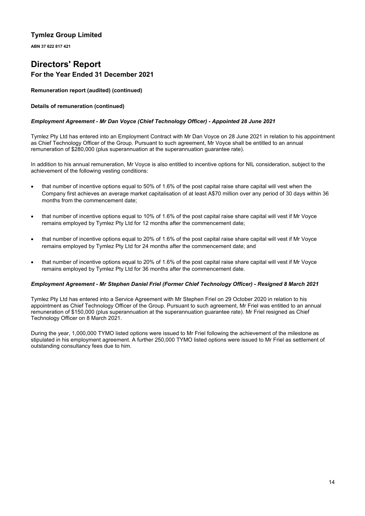**ABN 37 622 817 421**

# **Directors' Report For the Year Ended 31 December 2021**

**Remuneration report (audited) (continued)**

### **Details of remuneration (continued)**

### *Employment Agreement - Mr Dan Voyce (Chief Technology Officer) - Appointed 28 June 2021*

Tymlez Pty Ltd has entered into an Employment Contract with Mr Dan Voyce on 28 June 2021 in relation to his appointment as Chief Technology Officer of the Group. Pursuant to such agreement, Mr Voyce shall be entitled to an annual remuneration of \$280,000 (plus superannuation at the superannuation guarantee rate).

In addition to his annual remuneration, Mr Voyce is also entitled to incentive options for NIL consideration, subject to the achievement of the following vesting conditions:

- that number of incentive options equal to 50% of 1.6% of the post capital raise share capital will vest when the Company first achieves an average market capitalisation of at least A\$70 million over any period of 30 days within 36 months from the commencement date;
- that number of incentive options equal to 10% of 1.6% of the post capital raise share capital will vest if Mr Voyce remains employed by Tymlez Pty Ltd for 12 months after the commencement date;
- that number of incentive options equal to 20% of 1.6% of the post capital raise share capital will vest if Mr Voyce remains employed by Tymlez Pty Ltd for 24 months after the commencement date; and
- that number of incentive options equal to 20% of 1.6% of the post capital raise share capital will vest if Mr Voyce remains employed by Tymlez Pty Ltd for 36 months after the commencement date.

### *Employment Agreement - Mr Stephen Daniel Friel (Former Chief Technology Officer) - Resigned 8 March 2021*

Tymlez Pty Ltd has entered into a Service Agreement with Mr Stephen Friel on 29 October 2020 in relation to his appointment as Chief Technology Officer of the Group. Pursuant to such agreement, Mr Friel was entitled to an annual remuneration of \$150,000 (plus superannuation at the superannuation guarantee rate). Mr Friel resigned as Chief Technology Officer on 8 March 2021.

During the year, 1,000,000 TYMO listed options were issued to Mr Friel following the achievement of the milestone as stipulated in his employment agreement. A further 250,000 TYMO listed options were issued to Mr Friel as settlement of outstanding consultancy fees due to him.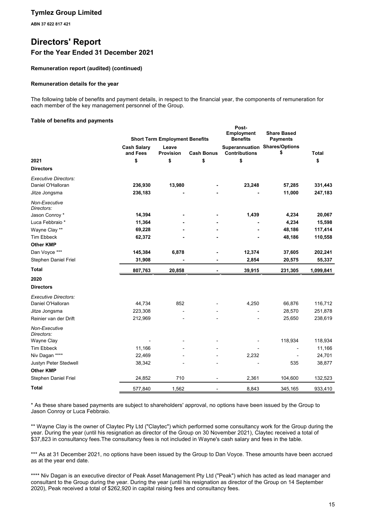**ABN 37 622 817 421**

# **Directors' Report For the Year Ended 31 December 2021**

### **Remuneration report (audited) (continued)**

### **Remuneration details for the year**

The following table of benefits and payment details, in respect to the financial year, the components of remuneration for each member of the key management personnel of the Group.

**Post-**

### **Table of benefits and payments**

|                             |                                | <b>Short Term Employment Benefits</b> |                   | <b>Employment</b><br><b>Benefits</b>                         | <b>Share Based</b><br><b>Payments</b> |              |
|-----------------------------|--------------------------------|---------------------------------------|-------------------|--------------------------------------------------------------|---------------------------------------|--------------|
|                             | <b>Cash Salary</b><br>and Fees | Leave<br><b>Provision</b>             | <b>Cash Bonus</b> | <b>Superannuation Shares/Options</b><br><b>Contributions</b> | \$                                    | <b>Total</b> |
| 2021                        | \$                             | \$                                    | \$                | \$                                                           |                                       | \$           |
| <b>Directors</b>            |                                |                                       |                   |                                                              |                                       |              |
| <b>Executive Directors:</b> |                                |                                       |                   |                                                              |                                       |              |
| Daniel O'Halloran           | 236,930                        | 13,980                                |                   | 23,248                                                       | 57,285                                | 331,443      |
| Jitze Jongsma               | 236,183                        |                                       |                   |                                                              | 11,000                                | 247,183      |
| Non-Executive<br>Directors: |                                |                                       |                   |                                                              |                                       |              |
| Jason Conroy *              | 14,394                         |                                       |                   | 1,439                                                        | 4,234                                 | 20,067       |
| Luca Febbraio*              | 11,364                         |                                       |                   |                                                              | 4,234                                 | 15,598       |
| Wayne Clay **               | 69,228                         |                                       |                   |                                                              | 48,186                                | 117,414      |
| <b>Tim Ebbeck</b>           | 62,372                         |                                       |                   |                                                              | 48,186                                | 110,558      |
| <b>Other KMP</b>            |                                |                                       |                   |                                                              |                                       |              |
| Dan Voyce ***               | 145,384                        | 6,878                                 |                   | 12,374                                                       | 37,605                                | 202,241      |
| Stephen Daniel Friel        | 31,908                         |                                       |                   | 2,854                                                        | 20,575                                | 55,337       |
| <b>Total</b>                | 807,763                        | 20,858                                | $\blacksquare$    | 39,915                                                       | 231,305                               | 1,099,841    |
| 2020                        |                                |                                       |                   |                                                              |                                       |              |
| <b>Directors</b>            |                                |                                       |                   |                                                              |                                       |              |
| <b>Executive Directors:</b> |                                |                                       |                   |                                                              |                                       |              |
| Daniel O'Halloran           | 44,734                         | 852                                   |                   | 4,250                                                        | 66,876                                | 116,712      |
| Jitze Jongsma               | 223,308                        |                                       |                   |                                                              | 28,570                                | 251,878      |
| Reinier van der Drift       | 212,969                        |                                       |                   |                                                              | 25,650                                | 238,619      |
| Non-Executive<br>Directors: |                                |                                       |                   |                                                              |                                       |              |
| Wayne Clay                  |                                |                                       |                   |                                                              | 118,934                               | 118,934      |
| <b>Tim Ebbeck</b>           | 11,166                         |                                       |                   |                                                              |                                       | 11,166       |
| Niv Dagan ****              | 22,469                         |                                       |                   | 2,232                                                        |                                       | 24,701       |
| Justyn Peter Stedwell       | 38,342                         |                                       |                   |                                                              | 535                                   | 38,877       |
| <b>Other KMP</b>            |                                |                                       |                   |                                                              |                                       |              |
| Stephen Daniel Friel        | 24,852                         | 710                                   |                   | 2,361                                                        | 104,600                               | 132,523      |
| <b>Total</b>                | 577,840                        | 1,562                                 |                   | 8,843                                                        | 345,165                               | 933,410      |

\* As these share based payments are subject to shareholders' approval, no options have been issued by the Group to Jason Conroy or Luca Febbraio.

\*\* Wayne Clay is the owner of Claytec Pty Ltd ("Claytec") which performed some consultancy work for the Group during the year. During the year (until his resignation as director of the Group on 30 November 2021), Claytec received a total of \$37,823 in consultancy fees.The consultancy fees is not included in Wayne's cash salary and fees in the table.

\*\*\* As at 31 December 2021, no options have been issued by the Group to Dan Voyce. These amounts have been accrued as at the year end date.

\*\*\*\* Niv Dagan is an executive director of Peak Asset Management Pty Ltd ("Peak") which has acted as lead manager and consultant to the Group during the year. During the year (until his resignation as director of the Group on 14 September 2020), Peak received a total of \$262,920 in capital raising fees and consultancy fees.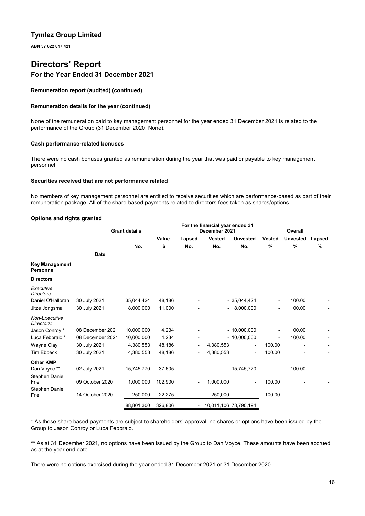**ABN 37 622 817 421**

# **Directors' Report For the Year Ended 31 December 2021**

### **Remuneration report (audited) (continued)**

### **Remuneration details for the year (continued)**

None of the remuneration paid to key management personnel for the year ended 31 December 2021 is related to the performance of the Group (31 December 2020: None).

### **Cash performance-related bonuses**

There were no cash bonuses granted as remuneration during the year that was paid or payable to key management personnel.

### **Securities received that are not performance related**

No members of key management personnel are entitled to receive securities which are performance-based as part of their remuneration package. All of the share-based payments related to directors fees taken as shares/options.

### **Options and rights granted**

|                                           |                  | <b>Grant details</b> |         | For the financial year ended 31<br>December 2021 |                          |                          | Overall                  |                 |        |
|-------------------------------------------|------------------|----------------------|---------|--------------------------------------------------|--------------------------|--------------------------|--------------------------|-----------------|--------|
|                                           |                  |                      | Value   | Lapsed                                           | <b>Vested</b>            | <b>Unvested</b>          | <b>Vested</b>            | <b>Unvested</b> | Lapsed |
|                                           |                  | No.                  | \$      | No.                                              | No.                      | No.                      | %                        | %               | %      |
|                                           | <b>Date</b>      |                      |         |                                                  |                          |                          |                          |                 |        |
| <b>Key Management</b><br><b>Personnel</b> |                  |                      |         |                                                  |                          |                          |                          |                 |        |
| <b>Directors</b>                          |                  |                      |         |                                                  |                          |                          |                          |                 |        |
| Executive<br>Directors:                   |                  |                      |         |                                                  |                          |                          |                          |                 |        |
| Daniel O'Halloran                         | 30 July 2021     | 35,044,424           | 48,186  |                                                  |                          | $-35,044,424$            | $\overline{\phantom{a}}$ | 100.00          |        |
| Jitze Jongsma                             | 30 July 2021     | 8,000,000            | 11,000  |                                                  | $\overline{\phantom{0}}$ | 8,000,000                | ٠                        | 100.00          |        |
| Non-Executive<br>Directors:               |                  |                      |         |                                                  |                          |                          |                          |                 |        |
| Jason Conroy *                            | 08 December 2021 | 10,000,000           | 4,234   |                                                  |                          | $-10,000,000$            | Ξ.                       | 100.00          |        |
| Luca Febbraio *                           | 08 December 2021 | 10,000,000           | 4,234   |                                                  |                          | $-10,000,000$            |                          | 100.00          |        |
| Wayne Clay                                | 30 July 2021     | 4,380,553            | 48,186  |                                                  | 4,380,553                | $\overline{\phantom{0}}$ | 100.00                   |                 |        |
| <b>Tim Ebbeck</b>                         | 30 July 2021     | 4,380,553            | 48,186  |                                                  | 4,380,553                | -                        | 100.00                   |                 |        |
| <b>Other KMP</b>                          |                  |                      |         |                                                  |                          |                          |                          |                 |        |
| Dan Voyce **                              | 02 July 2021     | 15,745,770           | 37,605  |                                                  |                          | $-15,745,770$            |                          | 100.00          |        |
| Stephen Daniel<br>Friel                   | 09 October 2020  | 1,000,000            | 102,900 |                                                  | 1,000,000                |                          | 100.00                   |                 |        |
| Stephen Daniel<br>Friel                   | 14 October 2020  | 250,000              | 22,275  | $\overline{\phantom{a}}$                         | 250,000                  |                          | 100.00                   |                 |        |
|                                           |                  | 88,801,300           | 326,806 | -                                                |                          | 10,011,106 78,790,194    |                          |                 |        |

\* As these share based payments are subject to shareholders' approval, no shares or options have been issued by the Group to Jason Conroy or Luca Febbraio.

\*\* As at 31 December 2021, no options have been issued by the Group to Dan Voyce. These amounts have been accrued as at the year end date.

There were no options exercised during the year ended 31 December 2021 or 31 December 2020.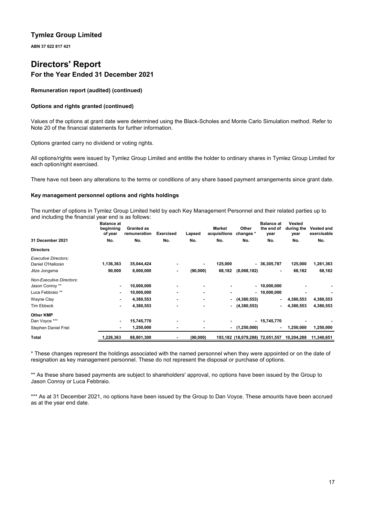**ABN 37 622 817 421**

# **Directors' Report For the Year Ended 31 December 2021**

**Remuneration report (audited) (continued)**

### **Options and rights granted (continued)**

Values of the options at grant date were determined using the Black-Scholes and Monte Carlo Simulation method. Refer to Note 20 of the financial statements for further information.

Options granted carry no dividend or voting rights.

All options/rights were issued by Tymlez Group Limited and entitle the holder to ordinary shares in Tymlez Group Limited for each option/right exercised.

There have not been any alterations to the terms or conditions of any share based payment arrangements since grant date.

### **Key management personnel options and rights holdings**

The number of options in Tymlez Group Limited held by each Key Management Personnel and their related parties up to and including the financial year end is as follows:

|                                 | <b>Balance at</b><br>beginning<br>of year | <b>Granted as</b><br>remuneration | <b>Exercised</b> | Lapsed                   | Market<br>acquisitions | Other<br>changes *              | <b>Balance at</b><br>the end of<br>year | Vested<br>during the<br>year | <b>Vested and</b><br>exercisable |
|---------------------------------|-------------------------------------------|-----------------------------------|------------------|--------------------------|------------------------|---------------------------------|-----------------------------------------|------------------------------|----------------------------------|
| 31 December 2021                | No.                                       | No.                               | No.              | No.                      | No.                    | No.                             | No.                                     | No.                          | No.                              |
| <b>Directors</b>                |                                           |                                   |                  |                          |                        |                                 |                                         |                              |                                  |
| <b>Executive Directors:</b>     |                                           |                                   |                  |                          |                        |                                 |                                         |                              |                                  |
| Daniel O'Halloran               | 1,136,363                                 | 35,044,424                        |                  | ٠                        | 125,000                | ٠                               | 36,305,787                              | 125,000                      | 1,261,363                        |
| Jitze Jongsma                   | 90,000                                    | 8,000,000                         | ۰                | (90,000)                 | 68,182                 | (8,068,182)                     |                                         | 68,182                       | 68,182                           |
| <b>Non-Executive Directors:</b> |                                           |                                   |                  |                          |                        |                                 |                                         |                              |                                  |
| Jason Conroy **                 |                                           | 10,000,000                        |                  |                          |                        |                                 | $-10,000,000$                           |                              |                                  |
| Luca Febbraio **                | ۰                                         | 10,000,000                        |                  | $\overline{\phantom{0}}$ |                        |                                 | $-10,000,000$                           |                              |                                  |
| Wayne Clay                      | ۰                                         | 4,380,553                         | ٠                | $\overline{\phantom{0}}$ | ٠                      | (4,380,553)                     | ٠                                       | 4,380,553                    | 4,380,553                        |
| <b>Tim Ebbeck</b>               | ٠                                         | 4,380,553                         | ٠                | $\overline{\phantom{0}}$ | ٠                      | (4,380,553)                     | ٠                                       | 4,380,553                    | 4,380,553                        |
| <b>Other KMP</b>                |                                           |                                   |                  |                          |                        |                                 |                                         |                              |                                  |
| Dan Voyce ***                   | ٠                                         | 15,745,770                        |                  |                          |                        |                                 | $-15,745,770$                           |                              |                                  |
| Stephen Daniel Friel            | ۰                                         | 1,250,000                         |                  |                          | ۰.                     | (1, 250, 000)                   |                                         | 1,250,000                    | 1,250,000                        |
| <b>Total</b>                    | 1,226,363                                 | 88,801,300                        |                  | (90,000)                 |                        | 193,182 (18,079,288) 72,051,557 |                                         | 10,204,288                   | 11,340,651                       |

\* These changes represent the holdings associated with the named personnel when they were appointed or on the date of resignation as key management personnel. These do not represent the disposal or purchase of options.

\*\* As these share based payments are subject to shareholders' approval, no options have been issued by the Group to Jason Conroy or Luca Febbraio.

\*\*\* As at 31 December 2021, no options have been issued by the Group to Dan Voyce. These amounts have been accrued as at the year end date.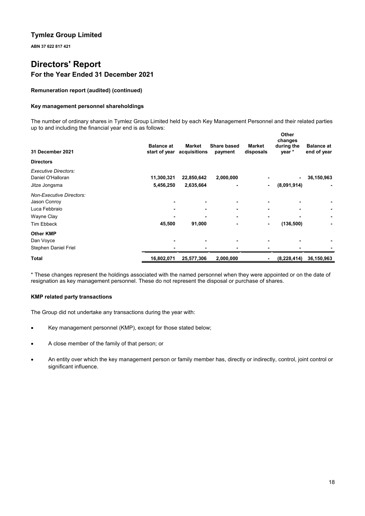**ABN 37 622 817 421**

# **Directors' Report For the Year Ended 31 December 2021**

### **Remuneration report (audited) (continued)**

### **Key management personnel shareholdings**

The number of ordinary shares in Tymlez Group Limited held by each Key Management Personnel and their related parties up to and including the financial year end is as follows: **Other**

| 31 December 2021                                                  | <b>Balance at</b><br>start of year | <b>Market</b><br>acquisitions | <b>Share based</b><br>payment | <b>Market</b><br>disposals | vuier<br>changes<br>during the<br>year * | <b>Balance at</b><br>end of year |
|-------------------------------------------------------------------|------------------------------------|-------------------------------|-------------------------------|----------------------------|------------------------------------------|----------------------------------|
| <b>Directors</b>                                                  |                                    |                               |                               |                            |                                          |                                  |
| <b>Executive Directors:</b><br>Daniel O'Halloran<br>Jitze Jongsma | 11,300,321<br>5,456,250            | 22,850,642<br>2,635,664       | 2,000,000                     | $\blacksquare$             | $\blacksquare$<br>(8,091,914)            | 36,150,963                       |
| <b>Non-Executive Directors:</b>                                   |                                    |                               |                               |                            |                                          |                                  |
| Jason Conroy                                                      |                                    |                               |                               |                            |                                          |                                  |
| Luca Febbraio                                                     |                                    | ۰                             |                               |                            | ۰                                        |                                  |
| Wayne Clay                                                        |                                    |                               |                               |                            |                                          |                                  |
| <b>Tim Ebbeck</b>                                                 | 45,500                             | 91,000                        |                               | ٠                          | (136, 500)                               |                                  |
| <b>Other KMP</b>                                                  |                                    |                               |                               |                            |                                          |                                  |
| Dan Voyce                                                         |                                    |                               |                               |                            |                                          |                                  |
| Stephen Daniel Friel                                              |                                    |                               |                               |                            |                                          |                                  |
| Total                                                             | 16,802,071                         | 25,577,306                    | 2,000,000                     |                            | (8, 228, 414)                            | 36,150,963                       |

\* These changes represent the holdings associated with the named personnel when they were appointed or on the date of resignation as key management personnel. These do not represent the disposal or purchase of shares.

### **KMP related party transactions**

The Group did not undertake any transactions during the year with:

- Key management personnel (KMP), except for those stated below;
- A close member of the family of that person; or
- An entity over which the key management person or family member has, directly or indirectly, control, joint control or significant influence.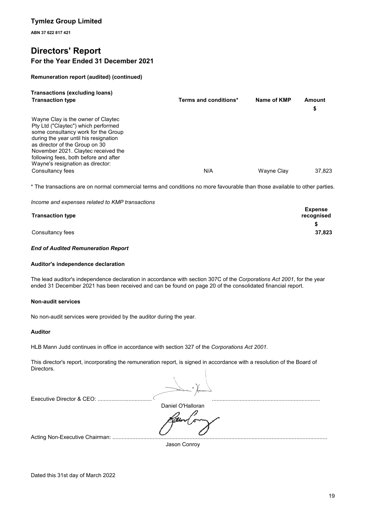**ABN 37 622 817 421**

# **Directors' Report For the Year Ended 31 December 2021**

### **Remuneration report (audited) (continued)**

| <b>Transactions (excluding loans)</b>                                                                                                                                                                                                                                                                           |                       |             |              |
|-----------------------------------------------------------------------------------------------------------------------------------------------------------------------------------------------------------------------------------------------------------------------------------------------------------------|-----------------------|-------------|--------------|
| <b>Transaction type</b>                                                                                                                                                                                                                                                                                         | Terms and conditions* | Name of KMP | Amount<br>\$ |
| Wayne Clay is the owner of Claytec<br>Pty Ltd ("Claytec") which performed<br>some consultancy work for the Group<br>during the year until his resignation<br>as director of the Group on 30<br>November 2021. Claytec received the<br>following fees, both before and after<br>Wayne's resignation as director: |                       |             |              |
| Consultancy fees                                                                                                                                                                                                                                                                                                | N/A                   | Wayne Clay  | 37.823       |

\* The transactions are on normal commercial terms and conditions no more favourable than those available to other parties.

*Income and expenses related to KMP transactions*

| <b>Transaction type</b> | <b>Expense</b><br>recognised |
|-------------------------|------------------------------|
|                         |                              |
| Consultancy fees        | 37,823                       |

### *End of Audited Remuneration Report*

### **Auditor's independence declaration**

The lead auditor's independence declaration in accordance with section 307C of the *Corporations Act 2001*, for the year ended 31 December 2021 has been received and can be found on page 20 of the consolidated financial report.

### **Non-audit services**

No non-audit services were provided by the auditor during the year.

### **Auditor**

HLB Mann Judd continues in office in accordance with section 327 of the *Corporations Act 2001*.

This director's report, incorporating the remuneration report, is signed in accordance with a resolution of the Board of Directors.

Executive Director & CEO: ................................................................................................................................................

Daniel O'Halloran

Acting Non-Executive Chairman: ..............................

Jason Conroy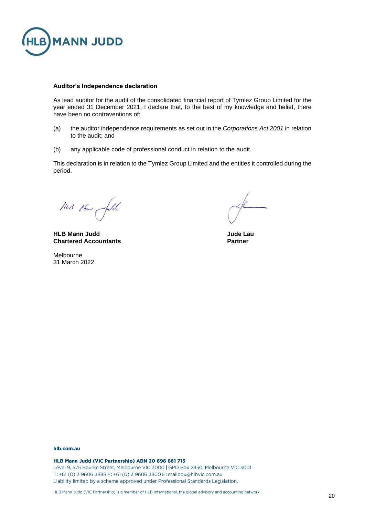

### **Auditor's Independence declaration**

As lead auditor for the audit of the consolidated financial report of Tymlez Group Limited for the year ended 31 December 2021, I declare that, to the best of my knowledge and belief, there have been no contraventions of:

- (a) the auditor independence requirements as set out in the *Corporations Act 2001* in relation to the audit; and
- (b) any applicable code of professional conduct in relation to the audit.

This declaration is in relation to the Tymlez Group Limited and the entities it controlled during the period.

HUB Henry full

**HLB Mann Judd Jude Lau Chartered Accountants Partner**

Melbourne 31 March 2022

#### hlb.com.au

HLB Mann Judd (VIC Partnership) ABN 20 696 861 713 Level 9, 575 Bourke Street, Melbourne VIC 3000 | GPO Box 2850, Melbourne VIC 3001 T: +61 (0) 3 9606 3888 F: +61 (0) 3 9606 3800 E: mailbox@hlbvic.com.au Liability limited by a scheme approved under Professional Standards Legislation.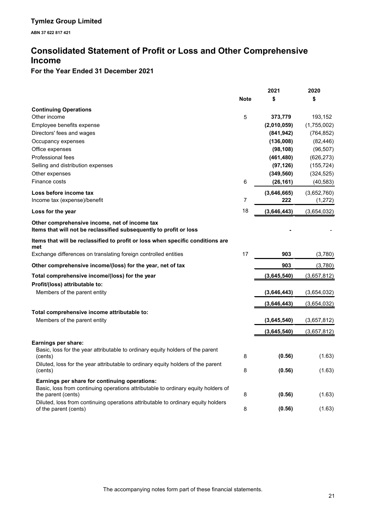# **Consolidated Statement of Profit or Loss and Other Comprehensive Income**

# **For the Year Ended 31 December 2021**

|                                                                                                                     |             | 2021        | 2020        |
|---------------------------------------------------------------------------------------------------------------------|-------------|-------------|-------------|
|                                                                                                                     | <b>Note</b> | \$          | \$          |
| <b>Continuing Operations</b>                                                                                        |             |             |             |
| Other income                                                                                                        | 5           | 373,779     | 193,152     |
| Employee benefits expense                                                                                           |             | (2,010,059) | (1,755,002) |
| Directors' fees and wages                                                                                           |             | (841, 942)  | (764, 852)  |
| Occupancy expenses                                                                                                  |             | (136,008)   | (82, 446)   |
| Office expenses                                                                                                     |             | (98, 108)   | (96, 507)   |
| Professional fees                                                                                                   |             | (461, 480)  | (626, 273)  |
| Selling and distribution expenses                                                                                   |             | (97, 126)   | (155, 724)  |
| Other expenses                                                                                                      |             | (349, 560)  | (324, 525)  |
| Finance costs                                                                                                       | 6           | (26, 161)   | (40, 583)   |
| Loss before income tax                                                                                              |             | (3,646,665) | (3,652,760) |
| Income tax (expense)/benefit                                                                                        | 7           | 222         | (1,272)     |
| Loss for the year                                                                                                   | 18          | (3,646,443) | (3,654,032) |
| Other comprehensive income, net of income tax<br>Items that will not be reclassified subsequently to profit or loss |             |             |             |
| Items that will be reclassified to profit or loss when specific conditions are<br>met                               |             |             |             |
| Exchange differences on translating foreign controlled entities                                                     | 17          | 903         | (3,780)     |
| Other comprehensive income/(loss) for the year, net of tax                                                          |             | 903         | (3,780)     |
| Total comprehensive income/(loss) for the year                                                                      |             | (3,645,540) | (3,657,812) |
| Profit/(loss) attributable to:                                                                                      |             |             |             |
| Members of the parent entity                                                                                        |             | (3,646,443) | (3,654,032) |
|                                                                                                                     |             | (3,646,443) | (3,654,032) |
| Total comprehensive income attributable to:                                                                         |             |             |             |
| Members of the parent entity                                                                                        |             | (3,645,540) | (3,657,812) |
|                                                                                                                     |             | (3,645,540) | (3,657,812) |
| Earnings per share:                                                                                                 |             |             |             |
| Basic, loss for the year attributable to ordinary equity holders of the parent<br>(cents)                           | 8           | (0.56)      | (1.63)      |
| Diluted, loss for the year attributable to ordinary equity holders of the parent<br>(cents)                         | 8           | (0.56)      | (1.63)      |
| Earnings per share for continuing operations:                                                                       |             |             |             |
| Basic, loss from continuing operations attributable to ordinary equity holders of                                   |             |             |             |
| the parent (cents)                                                                                                  | 8           | (0.56)      | (1.63)      |
| Diluted, loss from continuing operations attributable to ordinary equity holders<br>of the parent (cents)           | 8           | (0.56)      | (1.63)      |
|                                                                                                                     |             |             |             |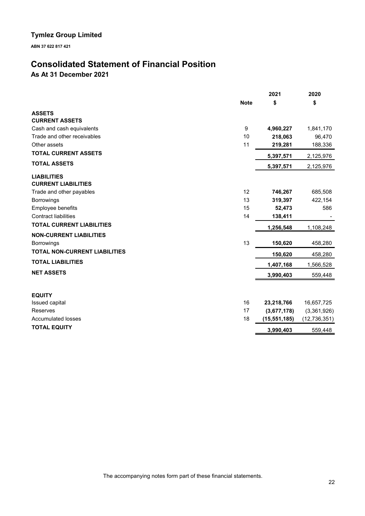**ABN 37 622 817 421**

# **Consolidated Statement of Financial Position**

**As At 31 December 2021**

|                                                  | 2021           | 2020           |
|--------------------------------------------------|----------------|----------------|
| <b>Note</b>                                      | \$             | \$             |
| <b>ASSETS</b>                                    |                |                |
| <b>CURRENT ASSETS</b>                            |                |                |
| Cash and cash equivalents<br>9                   | 4,960,227      | 1,841,170      |
| Trade and other receivables<br>10                | 218,063        | 96,470         |
| 11<br>Other assets                               | 219,281        | 188,336        |
| <b>TOTAL CURRENT ASSETS</b>                      | 5,397,571      | 2,125,976      |
| <b>TOTAL ASSETS</b>                              | 5,397,571      | 2,125,976      |
| <b>LIABILITIES</b><br><b>CURRENT LIABILITIES</b> |                |                |
| 12<br>Trade and other payables                   | 746,267        | 685,508        |
| <b>Borrowings</b><br>13                          | 319,397        | 422,154        |
| Employee benefits<br>15                          | 52,473         | 586            |
| <b>Contract liabilities</b><br>14                | 138,411        |                |
| <b>TOTAL CURRENT LIABILITIES</b>                 | 1,256,548      | 1,108,248      |
| <b>NON-CURRENT LIABILITIES</b>                   |                |                |
| 13<br><b>Borrowings</b>                          | 150,620        | 458,280        |
| <b>TOTAL NON-CURRENT LIABILITIES</b>             | 150,620        | 458,280        |
| <b>TOTAL LIABILITIES</b>                         | 1,407,168      | 1,566,528      |
| <b>NET ASSETS</b>                                | 3,990,403      | 559,448        |
| <b>EQUITY</b>                                    |                |                |
| 16<br>Issued capital                             | 23,218,766     | 16,657,725     |
| 17<br>Reserves                                   | (3,677,178)    | (3,361,926)    |
| 18<br><b>Accumulated losses</b>                  | (15, 551, 185) | (12, 736, 351) |
| <b>TOTAL EQUITY</b>                              | 3,990,403      | 559,448        |

The accompanying notes form part of these financial statements.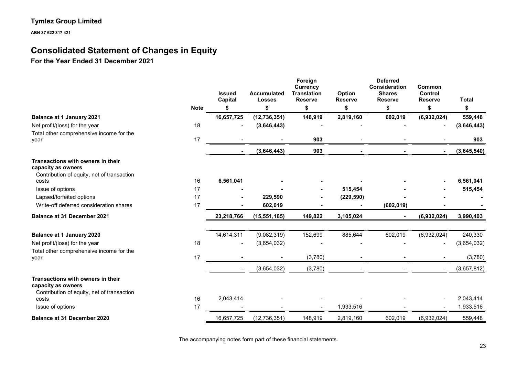**ABN 37 622 817 421**

# **Consolidated Statement of Changes in Equity**

**For the Year Ended 31 December 2021**

|                                                                                                       |             | <b>Issued</b><br>Capital | <b>Accumulated</b><br><b>Losses</b> | Foreign<br><b>Currency</b><br><b>Translation</b><br><b>Reserve</b> | Option<br><b>Reserve</b> | <b>Deferred</b><br>Consideration<br><b>Shares</b><br><b>Reserve</b> | Common<br><b>Control</b><br><b>Reserve</b> | <b>Total</b> |
|-------------------------------------------------------------------------------------------------------|-------------|--------------------------|-------------------------------------|--------------------------------------------------------------------|--------------------------|---------------------------------------------------------------------|--------------------------------------------|--------------|
|                                                                                                       | <b>Note</b> |                          | \$                                  | \$                                                                 | \$                       | \$                                                                  | \$                                         | \$           |
| <b>Balance at 1 January 2021</b>                                                                      |             | 16,657,725               | (12, 736, 351)                      | 148,919                                                            | 2,819,160                | 602,019                                                             | (6,932,024)                                | 559,448      |
| Net profit/(loss) for the year                                                                        | 18          |                          | (3,646,443)                         |                                                                    |                          |                                                                     |                                            | (3,646,443)  |
| Total other comprehensive income for the<br>year                                                      | 17          |                          |                                     | 903                                                                |                          |                                                                     |                                            | 903          |
|                                                                                                       |             | $\sim$                   | (3,646,443)                         | 903                                                                |                          |                                                                     |                                            | (3,645,540)  |
| Transactions with owners in their<br>capacity as owners<br>Contribution of equity, net of transaction |             |                          |                                     |                                                                    |                          |                                                                     |                                            |              |
| costs                                                                                                 | 16          | 6,561,041                |                                     |                                                                    |                          |                                                                     |                                            | 6,561,041    |
| Issue of options                                                                                      | 17          |                          |                                     |                                                                    | 515,454                  |                                                                     |                                            | 515,454      |
| Lapsed/forfeited options                                                                              | 17          |                          | 229,590                             |                                                                    | (229, 590)               |                                                                     |                                            |              |
| Write-off deferred consideration shares                                                               | 17          |                          | 602,019                             |                                                                    |                          | (602, 019)                                                          |                                            |              |
| Balance at 31 December 2021                                                                           |             | 23,218,766               | (15, 551, 185)                      | 149,822                                                            | 3,105,024                | $\overline{\phantom{0}}$                                            | (6,932,024)                                | 3,990,403    |
| <b>Balance at 1 January 2020</b>                                                                      |             | 14,614,311               | (9,082,319)                         | 152,699                                                            | 885,644                  | 602,019                                                             | (6,932,024)                                | 240,330      |
| Net profit/(loss) for the year                                                                        | 18          | $\overline{\phantom{a}}$ | (3,654,032)                         |                                                                    |                          |                                                                     |                                            | (3,654,032)  |
| Total other comprehensive income for the<br>year                                                      | 17          |                          |                                     | (3,780)                                                            |                          |                                                                     |                                            | (3,780)      |
|                                                                                                       |             | $\blacksquare$           | (3,654,032)                         | (3,780)                                                            |                          |                                                                     |                                            | (3,657,812)  |
| Transactions with owners in their<br>capacity as owners<br>Contribution of equity, net of transaction |             |                          |                                     |                                                                    |                          |                                                                     |                                            |              |
| costs                                                                                                 | 16          | 2,043,414                |                                     |                                                                    |                          |                                                                     |                                            | 2,043,414    |
| Issue of options                                                                                      | 17          |                          |                                     |                                                                    | 1,933,516                |                                                                     |                                            | 1,933,516    |
| <b>Balance at 31 December 2020</b>                                                                    |             | 16,657,725               | (12, 736, 351)                      | 148,919                                                            | 2,819,160                | 602,019                                                             | (6,932,024)                                | 559,448      |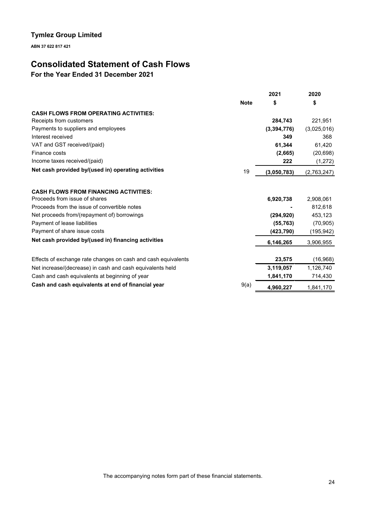**ABN 37 622 817 421**

# **Consolidated Statement of Cash Flows**

**For the Year Ended 31 December 2021**

|                                                               |             | 2021        | 2020        |
|---------------------------------------------------------------|-------------|-------------|-------------|
|                                                               | <b>Note</b> | \$          | \$          |
| <b>CASH FLOWS FROM OPERATING ACTIVITIES:</b>                  |             |             |             |
| Receipts from customers                                       |             | 284,743     | 221,951     |
| Payments to suppliers and employees                           |             | (3,394,776) | (3,025,016) |
| Interest received                                             |             | 349         | 368         |
| VAT and GST received/(paid)                                   |             | 61,344      | 61.420      |
| Finance costs                                                 |             | (2,665)     | (20, 698)   |
| Income taxes received/(paid)                                  |             | 222         | (1, 272)    |
| Net cash provided by/(used in) operating activities           | 19          | (3,050,783) | (2,763,247) |
| <b>CASH FLOWS FROM FINANCING ACTIVITIES:</b>                  |             |             |             |
| Proceeds from issue of shares                                 |             | 6,920,738   | 2,908,061   |
| Proceeds from the issue of convertible notes                  |             |             | 812.618     |
| Net proceeds from/(repayment of) borrowings                   |             | (294, 920)  | 453,123     |
| Payment of lease liabilities                                  |             | (55, 763)   | (70, 905)   |
| Payment of share issue costs                                  |             | (423,790)   | (195, 942)  |
| Net cash provided by/(used in) financing activities           |             | 6,146,265   | 3,906,955   |
| Effects of exchange rate changes on cash and cash equivalents |             | 23,575      | (16,968)    |
| Net increase/(decrease) in cash and cash equivalents held     |             | 3,119,057   | 1,126,740   |
| Cash and cash equivalents at beginning of year                |             | 1,841,170   | 714,430     |
| Cash and cash equivalents at end of financial year            | 9(a)        | 4,960,227   | 1,841,170   |

The accompanying notes form part of these financial statements.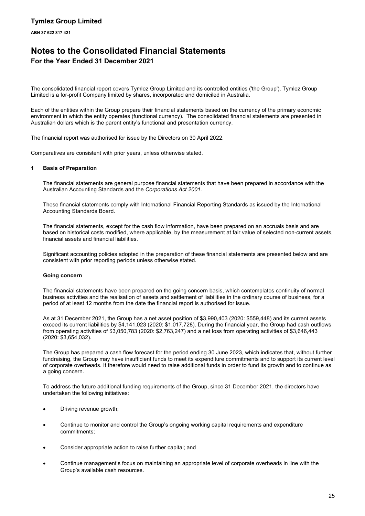# **Notes to the Consolidated Financial Statements**

## **For the Year Ended 31 December 2021**

The consolidated financial report covers Tymlez Group Limited and its controlled entities ('the Group'). Tymlez Group Limited is a for-profit Company limited by shares, incorporated and domiciled in Australia.

Each of the entities within the Group prepare their financial statements based on the currency of the primary economic environment in which the entity operates (functional currency). The consolidated financial statements are presented in Australian dollars which is the parent entity's functional and presentation currency.

The financial report was authorised for issue by the Directors on 30 April 2022.

Comparatives are consistent with prior years, unless otherwise stated.

### **1 Basis of Preparation**

The financial statements are general purpose financial statements that have been prepared in accordance with the Australian Accounting Standards and the *Corporations Act 2001.*

These financial statements comply with International Financial Reporting Standards as issued by the International Accounting Standards Board.

The financial statements, except for the cash flow information, have been prepared on an accruals basis and are based on historical costs modified, where applicable, by the measurement at fair value of selected non-current assets, financial assets and financial liabilities.

Significant accounting policies adopted in the preparation of these financial statements are presented below and are consistent with prior reporting periods unless otherwise stated.

### **Going concern**

The financial statements have been prepared on the going concern basis, which contemplates continuity of normal business activities and the realisation of assets and settlement of liabilities in the ordinary course of business, for a period of at least 12 months from the date the financial report is authorised for issue.

As at 31 December 2021, the Group has a net asset position of \$3,990,403 (2020: \$559,448) and its current assets exceed its current liabilities by \$4,141,023 (2020: \$1,017,728). During the financial year, the Group had cash outflows from operating activities of \$3,050,783 (2020: \$2,763,247) and a net loss from operating activities of \$3,646,443 (2020: \$3,654,032).

The Group has prepared a cash flow forecast for the period ending 30 June 2023, which indicates that, without further fundraising, the Group may have insufficient funds to meet its expenditure commitments and to support its current level of corporate overheads. It therefore would need to raise additional funds in order to fund its growth and to continue as a going concern.

To address the future additional funding requirements of the Group, since 31 December 2021, the directors have undertaken the following initiatives:

- Driving revenue growth;
- Continue to monitor and control the Group's ongoing working capital requirements and expenditure commitments;
- Consider appropriate action to raise further capital; and
- Continue management's focus on maintaining an appropriate level of corporate overheads in line with the Group's available cash resources.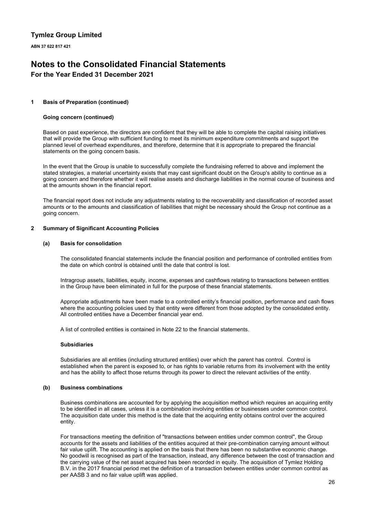**ABN 37 622 817 421**

# **Notes to the Consolidated Financial Statements**

## **For the Year Ended 31 December 2021**

### **1 Basis of Preparation (continued)**

### **Going concern (continued)**

Based on past experience, the directors are confident that they will be able to complete the capital raising initiatives that will provide the Group with sufficient funding to meet its minimum expenditure commitments and support the planned level of overhead expenditures, and therefore, determine that it is appropriate to prepared the financial statements on the going concern basis.

In the event that the Group is unable to successfully complete the fundraising referred to above and implement the stated strategies, a material uncertainty exists that may cast significant doubt on the Group's ability to continue as a going concern and therefore whether it will realise assets and discharge liabilities in the normal course of business and at the amounts shown in the financial report.

The financial report does not include any adjustments relating to the recoverability and classification of recorded asset amounts or to the amounts and classification of liabilities that might be necessary should the Group not continue as a going concern.

### **2 Summary of Significant Accounting Policies**

### **(a) Basis for consolidation**

The consolidated financial statements include the financial position and performance of controlled entities from the date on which control is obtained until the date that control is lost.

Intragroup assets, liabilities, equity, income, expenses and cashflows relating to transactions between entities in the Group have been eliminated in full for the purpose of these financial statements.

Appropriate adjustments have been made to a controlled entity's financial position, performance and cash flows where the accounting policies used by that entity were different from those adopted by the consolidated entity. All controlled entities have a December financial year end.

A list of controlled entities is contained in Note 22 to the financial statements.

### **Subsidiaries**

Subsidiaries are all entities (including structured entities) over which the parent has control. Control is established when the parent is exposed to, or has rights to variable returns from its involvement with the entity and has the ability to affect those returns through its power to direct the relevant activities of the entity.

### **(b) Business combinations**

Business combinations are accounted for by applying the acquisition method which requires an acquiring entity to be identified in all cases, unless it is a combination involving entities or businesses under common control. The acquisition date under this method is the date that the acquiring entity obtains control over the acquired entity.

For transactions meeting the definition of "transactions between entities under common control", the Group accounts for the assets and liabilities of the entities acquired at their pre-combination carrying amount without fair value uplift. The accounting is applied on the basis that there has been no substantive economic change. No goodwill is recognised as part of the transaction, instead, any difference between the cost of transaction and the carrying value of the net asset acquired has been recorded in equity. The acquisition of Tymlez Holding B.V. in the 2017 financial period met the definition of a transaction between entities under common control as per AASB 3 and no fair value uplift was applied.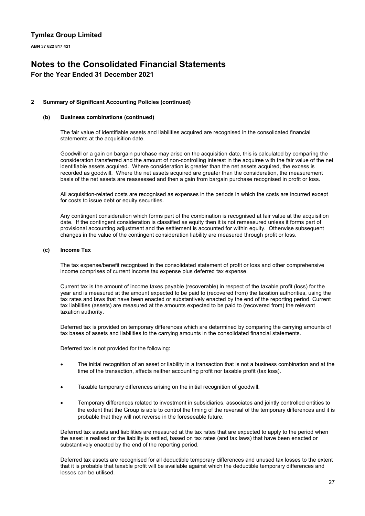**ABN 37 622 817 421**

# **Notes to the Consolidated Financial Statements**

## **For the Year Ended 31 December 2021**

### **2 Summary of Significant Accounting Policies (continued)**

### **(b) Business combinations (continued)**

The fair value of identifiable assets and liabilities acquired are recognised in the consolidated financial statements at the acquisition date.

Goodwill or a gain on bargain purchase may arise on the acquisition date, this is calculated by comparing the consideration transferred and the amount of non-controlling interest in the acquiree with the fair value of the net identifiable assets acquired. Where consideration is greater than the net assets acquired, the excess is recorded as goodwill. Where the net assets acquired are greater than the consideration, the measurement basis of the net assets are reassessed and then a gain from bargain purchase recognised in profit or loss.

All acquisition-related costs are recognised as expenses in the periods in which the costs are incurred except for costs to issue debt or equity securities.

Any contingent consideration which forms part of the combination is recognised at fair value at the acquisition date. If the contingent consideration is classified as equity then it is not remeasured unless it forms part of provisional accounting adjustment and the settlement is accounted for within equity. Otherwise subsequent changes in the value of the contingent consideration liability are measured through profit or loss.

### **(c) Income Tax**

The tax expense/benefit recognised in the consolidated statement of profit or loss and other comprehensive income comprises of current income tax expense plus deferred tax expense.

Current tax is the amount of income taxes payable (recoverable) in respect of the taxable profit (loss) for the year and is measured at the amount expected to be paid to (recovered from) the taxation authorities, using the tax rates and laws that have been enacted or substantively enacted by the end of the reporting period. Current tax liabilities (assets) are measured at the amounts expected to be paid to (recovered from) the relevant taxation authority.

Deferred tax is provided on temporary differences which are determined by comparing the carrying amounts of tax bases of assets and liabilities to the carrying amounts in the consolidated financial statements.

Deferred tax is not provided for the following:

- The initial recognition of an asset or liability in a transaction that is not a business combination and at the time of the transaction, affects neither accounting profit nor taxable profit (tax loss).
- Taxable temporary differences arising on the initial recognition of goodwill.
- Temporary differences related to investment in subsidiaries, associates and jointly controlled entities to the extent that the Group is able to control the timing of the reversal of the temporary differences and it is probable that they will not reverse in the foreseeable future.

Deferred tax assets and liabilities are measured at the tax rates that are expected to apply to the period when the asset is realised or the liability is settled, based on tax rates (and tax laws) that have been enacted or substantively enacted by the end of the reporting period.

Deferred tax assets are recognised for all deductible temporary differences and unused tax losses to the extent that it is probable that taxable profit will be available against which the deductible temporary differences and losses can be utilised.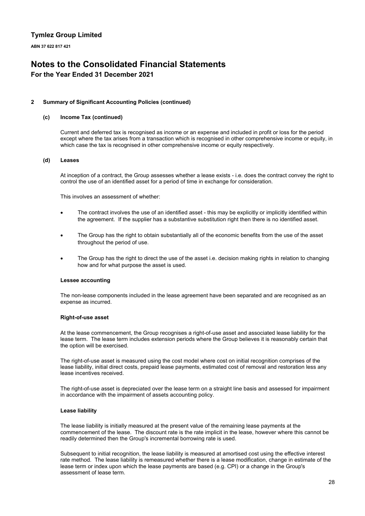**ABN 37 622 817 421**

# **Notes to the Consolidated Financial Statements**

## **For the Year Ended 31 December 2021**

### **2 Summary of Significant Accounting Policies (continued)**

### **(c) Income Tax (continued)**

Current and deferred tax is recognised as income or an expense and included in profit or loss for the period except where the tax arises from a transaction which is recognised in other comprehensive income or equity, in which case the tax is recognised in other comprehensive income or equity respectively.

### **(d) Leases**

At inception of a contract, the Group assesses whether a lease exists - i.e. does the contract convey the right to control the use of an identified asset for a period of time in exchange for consideration.

This involves an assessment of whether:

- The contract involves the use of an identified asset this may be explicitly or implicitly identified within the agreement. If the supplier has a substantive substitution right then there is no identified asset.
- The Group has the right to obtain substantially all of the economic benefits from the use of the asset throughout the period of use.
- The Group has the right to direct the use of the asset i.e. decision making rights in relation to changing how and for what purpose the asset is used.

### **Lessee accounting**

The non-lease components included in the lease agreement have been separated and are recognised as an expense as incurred.

### **Right-of-use asset**

At the lease commencement, the Group recognises a right-of-use asset and associated lease liability for the lease term. The lease term includes extension periods where the Group believes it is reasonably certain that the option will be exercised.

The right-of-use asset is measured using the cost model where cost on initial recognition comprises of the lease liability, initial direct costs, prepaid lease payments, estimated cost of removal and restoration less any lease incentives received.

The right-of-use asset is depreciated over the lease term on a straight line basis and assessed for impairment in accordance with the impairment of assets accounting policy.

### **Lease liability**

The lease liability is initially measured at the present value of the remaining lease payments at the commencement of the lease. The discount rate is the rate implicit in the lease, however where this cannot be readily determined then the Group's incremental borrowing rate is used.

Subsequent to initial recognition, the lease liability is measured at amortised cost using the effective interest rate method. The lease liability is remeasured whether there is a lease modification, change in estimate of the lease term or index upon which the lease payments are based (e.g. CPI) or a change in the Group's assessment of lease term.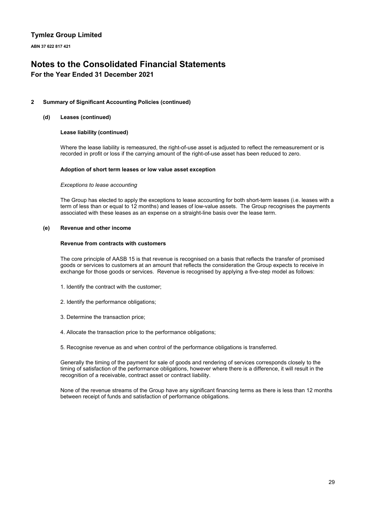**ABN 37 622 817 421**

# **Notes to the Consolidated Financial Statements**

## **For the Year Ended 31 December 2021**

### **2 Summary of Significant Accounting Policies (continued)**

### **(d) Leases (continued)**

### **Lease liability (continued)**

Where the lease liability is remeasured, the right-of-use asset is adjusted to reflect the remeasurement or is recorded in profit or loss if the carrying amount of the right-of-use asset has been reduced to zero.

### **Adoption of short term leases or low value asset exception**

### *Exceptions to lease accounting*

The Group has elected to apply the exceptions to lease accounting for both short-term leases (i.e. leases with a term of less than or equal to 12 months) and leases of low-value assets. The Group recognises the payments associated with these leases as an expense on a straight-line basis over the lease term.

### **(e) Revenue and other income**

### **Revenue from contracts with customers**

The core principle of AASB 15 is that revenue is recognised on a basis that reflects the transfer of promised goods or services to customers at an amount that reflects the consideration the Group expects to receive in exchange for those goods or services. Revenue is recognised by applying a five-step model as follows:

- 1. Identify the contract with the customer;
- 2. Identify the performance obligations;
- 3. Determine the transaction price;
- 4. Allocate the transaction price to the performance obligations;
- 5. Recognise revenue as and when control of the performance obligations is transferred.

Generally the timing of the payment for sale of goods and rendering of services corresponds closely to the timing of satisfaction of the performance obligations, however where there is a difference, it will result in the recognition of a receivable, contract asset or contract liability.

None of the revenue streams of the Group have any significant financing terms as there is less than 12 months between receipt of funds and satisfaction of performance obligations.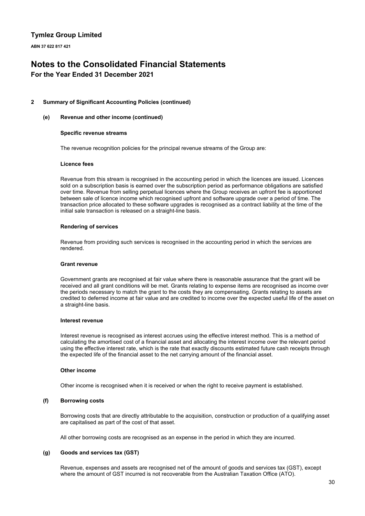**ABN 37 622 817 421**

# **Notes to the Consolidated Financial Statements**

## **For the Year Ended 31 December 2021**

### **2 Summary of Significant Accounting Policies (continued)**

### **(e) Revenue and other income (continued)**

### **Specific revenue streams**

The revenue recognition policies for the principal revenue streams of the Group are:

### **Licence fees**

Revenue from this stream is recognised in the accounting period in which the licences are issued. Licences sold on a subscription basis is earned over the subscription period as performance obligations are satisfied over time. Revenue from selling perpetual licences where the Group receives an upfront fee is apportioned between sale of licence income which recognised upfront and software upgrade over a period of time. The transaction price allocated to these software upgrades is recognised as a contract liability at the time of the initial sale transaction is released on a straight-line basis.

### **Rendering of services**

Revenue from providing such services is recognised in the accounting period in which the services are rendered.

### **Grant revenue**

Government grants are recognised at fair value where there is reasonable assurance that the grant will be received and all grant conditions will be met. Grants relating to expense items are recognised as income over the periods necessary to match the grant to the costs they are compensating. Grants relating to assets are credited to deferred income at fair value and are credited to income over the expected useful life of the asset on a straight-line basis.

### **Interest revenue**

Interest revenue is recognised as interest accrues using the effective interest method. This is a method of calculating the amortised cost of a financial asset and allocating the interest income over the relevant period using the effective interest rate, which is the rate that exactly discounts estimated future cash receipts through the expected life of the financial asset to the net carrying amount of the financial asset.

### **Other income**

Other income is recognised when it is received or when the right to receive payment is established.

### **(f) Borrowing costs**

Borrowing costs that are directly attributable to the acquisition, construction or production of a qualifying asset are capitalised as part of the cost of that asset.

All other borrowing costs are recognised as an expense in the period in which they are incurred.

### **(g) Goods and services tax (GST)**

Revenue, expenses and assets are recognised net of the amount of goods and services tax (GST), except where the amount of GST incurred is not recoverable from the Australian Taxation Office (ATO).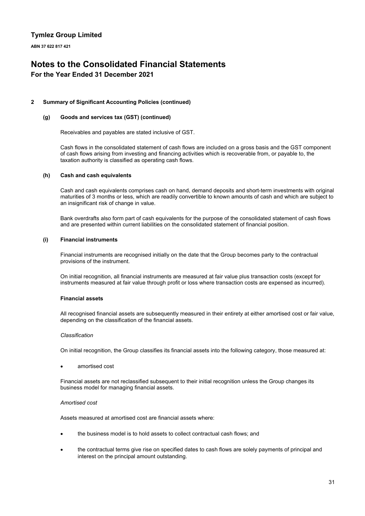**ABN 37 622 817 421**

# **Notes to the Consolidated Financial Statements**

## **For the Year Ended 31 December 2021**

### **2 Summary of Significant Accounting Policies (continued)**

### **(g) Goods and services tax (GST) (continued)**

Receivables and payables are stated inclusive of GST.

Cash flows in the consolidated statement of cash flows are included on a gross basis and the GST component of cash flows arising from investing and financing activities which is recoverable from, or payable to, the taxation authority is classified as operating cash flows.

### **(h) Cash and cash equivalents**

Cash and cash equivalents comprises cash on hand, demand deposits and short-term investments with original maturities of 3 months or less, which are readily convertible to known amounts of cash and which are subject to an insignificant risk of change in value.

Bank overdrafts also form part of cash equivalents for the purpose of the consolidated statement of cash flows and are presented within current liabilities on the consolidated statement of financial position.

### **(i) Financial instruments**

Financial instruments are recognised initially on the date that the Group becomes party to the contractual provisions of the instrument.

On initial recognition, all financial instruments are measured at fair value plus transaction costs (except for instruments measured at fair value through profit or loss where transaction costs are expensed as incurred).

### **Financial assets**

All recognised financial assets are subsequently measured in their entirety at either amortised cost or fair value, depending on the classification of the financial assets.

### *Classification*

On initial recognition, the Group classifies its financial assets into the following category, those measured at:

amortised cost

Financial assets are not reclassified subsequent to their initial recognition unless the Group changes its business model for managing financial assets.

### *Amortised cost*

Assets measured at amortised cost are financial assets where:

- the business model is to hold assets to collect contractual cash flows; and
- the contractual terms give rise on specified dates to cash flows are solely payments of principal and interest on the principal amount outstanding.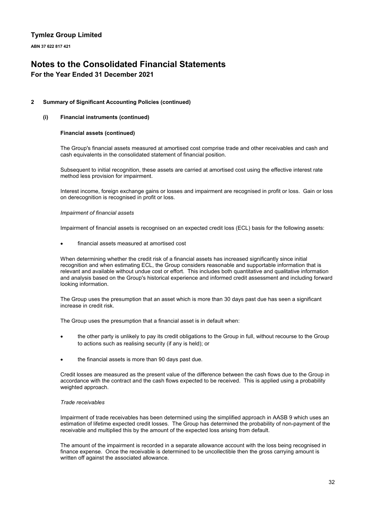**ABN 37 622 817 421**

# **Notes to the Consolidated Financial Statements**

## **For the Year Ended 31 December 2021**

### **2 Summary of Significant Accounting Policies (continued)**

### **(i) Financial instruments (continued)**

### **Financial assets (continued)**

The Group's financial assets measured at amortised cost comprise trade and other receivables and cash and cash equivalents in the consolidated statement of financial position.

Subsequent to initial recognition, these assets are carried at amortised cost using the effective interest rate method less provision for impairment.

Interest income, foreign exchange gains or losses and impairment are recognised in profit or loss. Gain or loss on derecognition is recognised in profit or loss.

### *Impairment of financial assets*

Impairment of financial assets is recognised on an expected credit loss (ECL) basis for the following assets:

financial assets measured at amortised cost

When determining whether the credit risk of a financial assets has increased significantly since initial recognition and when estimating ECL, the Group considers reasonable and supportable information that is relevant and available without undue cost or effort. This includes both quantitative and qualitative information and analysis based on the Group's historical experience and informed credit assessment and including forward looking information.

The Group uses the presumption that an asset which is more than 30 days past due has seen a significant increase in credit risk.

The Group uses the presumption that a financial asset is in default when:

- the other party is unlikely to pay its credit obligations to the Group in full, without recourse to the Group to actions such as realising security (if any is held); or
- the financial assets is more than 90 days past due.

Credit losses are measured as the present value of the difference between the cash flows due to the Group in accordance with the contract and the cash flows expected to be received. This is applied using a probability weighted approach.

### *Trade receivables*

Impairment of trade receivables has been determined using the simplified approach in AASB 9 which uses an estimation of lifetime expected credit losses. The Group has determined the probability of non-payment of the receivable and multiplied this by the amount of the expected loss arising from default.

The amount of the impairment is recorded in a separate allowance account with the loss being recognised in finance expense. Once the receivable is determined to be uncollectible then the gross carrying amount is written off against the associated allowance.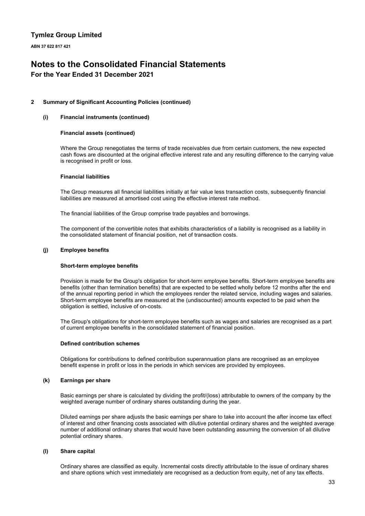**ABN 37 622 817 421**

# **Notes to the Consolidated Financial Statements**

## **For the Year Ended 31 December 2021**

### **2 Summary of Significant Accounting Policies (continued)**

### **(i) Financial instruments (continued)**

### **Financial assets (continued)**

Where the Group renegotiates the terms of trade receivables due from certain customers, the new expected cash flows are discounted at the original effective interest rate and any resulting difference to the carrying value is recognised in profit or loss.

### **Financial liabilities**

The Group measures all financial liabilities initially at fair value less transaction costs, subsequently financial liabilities are measured at amortised cost using the effective interest rate method.

The financial liabilities of the Group comprise trade payables and borrowings.

The component of the convertible notes that exhibits characteristics of a liability is recognised as a liability in the consolidated statement of financial position, net of transaction costs.

### **(j) Employee benefits**

### **Short-term employee benefits**

Provision is made for the Group's obligation for short-term employee benefits. Short-term employee benefits are benefits (other than termination benefits) that are expected to be settled wholly before 12 months after the end of the annual reporting period in which the employees render the related service, including wages and salaries. Short-term employee benefits are measured at the (undiscounted) amounts expected to be paid when the obligation is settled, inclusive of on-costs.

The Group's obligations for short-term employee benefits such as wages and salaries are recognised as a part of current employee benefits in the consolidated statement of financial position.

### **Defined contribution schemes**

Obligations for contributions to defined contribution superannuation plans are recognised as an employee benefit expense in profit or loss in the periods in which services are provided by employees.

### **(k) Earnings per share**

Basic earnings per share is calculated by dividing the profit/(loss) attributable to owners of the company by the weighted average number of ordinary shares outstanding during the year.

Diluted earnings per share adjusts the basic earnings per share to take into account the after income tax effect of interest and other financing costs associated with dilutive potential ordinary shares and the weighted average number of additional ordinary shares that would have been outstanding assuming the conversion of all dilutive potential ordinary shares.

### **(l) Share capital**

Ordinary shares are classified as equity. Incremental costs directly attributable to the issue of ordinary shares and share options which vest immediately are recognised as a deduction from equity, net of any tax effects.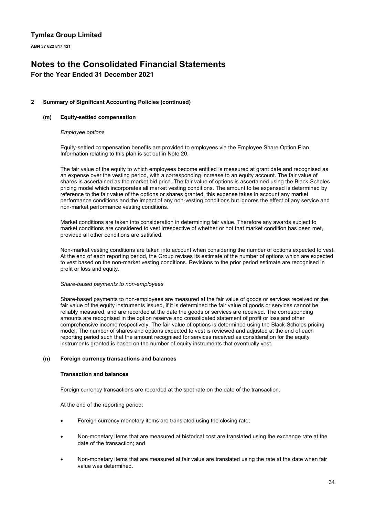**ABN 37 622 817 421**

# **Notes to the Consolidated Financial Statements**

## **For the Year Ended 31 December 2021**

### **2 Summary of Significant Accounting Policies (continued)**

### **(m) Equity-settled compensation**

### *Employee options*

Equity-settled compensation benefits are provided to employees via the Employee Share Option Plan. Information relating to this plan is set out in Note 20.

The fair value of the equity to which employees become entitled is measured at grant date and recognised as an expense over the vesting period, with a corresponding increase to an equity account. The fair value of shares is ascertained as the market bid price. The fair value of options is ascertained using the Black-Scholes pricing model which incorporates all market vesting conditions. The amount to be expensed is determined by reference to the fair value of the options or shares granted, this expense takes in account any market performance conditions and the impact of any non-vesting conditions but ignores the effect of any service and non-market performance vesting conditions.

Market conditions are taken into consideration in determining fair value. Therefore any awards subject to market conditions are considered to vest irrespective of whether or not that market condition has been met, provided all other conditions are satisfied.

Non-market vesting conditions are taken into account when considering the number of options expected to vest. At the end of each reporting period, the Group revises its estimate of the number of options which are expected to vest based on the non-market vesting conditions. Revisions to the prior period estimate are recognised in profit or loss and equity.

### *Share-based payments to non-employees*

Share-based payments to non-employees are measured at the fair value of goods or services received or the fair value of the equity instruments issued, if it is determined the fair value of goods or services cannot be reliably measured, and are recorded at the date the goods or services are received. The corresponding amounts are recognised in the option reserve and consolidated statement of profit or loss and other comprehensive income respectively. The fair value of options is determined using the Black-Scholes pricing model. The number of shares and options expected to vest is reviewed and adjusted at the end of each reporting period such that the amount recognised for services received as consideration for the equity instruments granted is based on the number of equity instruments that eventually vest.

### **(n) Foreign currency transactions and balances**

### **Transaction and balances**

Foreign currency transactions are recorded at the spot rate on the date of the transaction.

At the end of the reporting period:

- Foreign currency monetary items are translated using the closing rate;
- Non-monetary items that are measured at historical cost are translated using the exchange rate at the date of the transaction; and
- Non-monetary items that are measured at fair value are translated using the rate at the date when fair value was determined.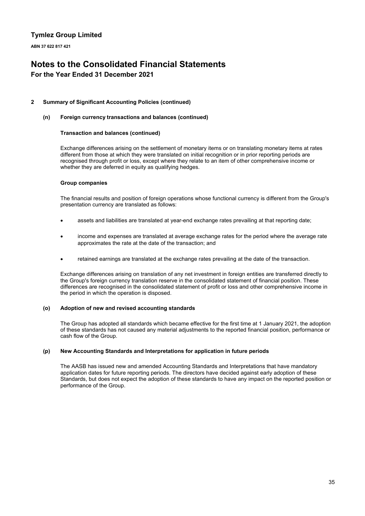**ABN 37 622 817 421**

# **Notes to the Consolidated Financial Statements**

## **For the Year Ended 31 December 2021**

### **2 Summary of Significant Accounting Policies (continued)**

### **(n) Foreign currency transactions and balances (continued)**

### **Transaction and balances (continued)**

Exchange differences arising on the settlement of monetary items or on translating monetary items at rates different from those at which they were translated on initial recognition or in prior reporting periods are recognised through profit or loss, except where they relate to an item of other comprehensive income or whether they are deferred in equity as qualifying hedges.

### **Group companies**

The financial results and position of foreign operations whose functional currency is different from the Group's presentation currency are translated as follows:

- assets and liabilities are translated at year-end exchange rates prevailing at that reporting date;
- income and expenses are translated at average exchange rates for the period where the average rate approximates the rate at the date of the transaction; and
- retained earnings are translated at the exchange rates prevailing at the date of the transaction.

Exchange differences arising on translation of any net investment in foreign entities are transferred directly to the Group's foreign currency translation reserve in the consolidated statement of financial position. These differences are recognised in the consolidated statement of profit or loss and other comprehensive income in the period in which the operation is disposed.

### **(o) Adoption of new and revised accounting standards**

The Group has adopted all standards which became effective for the first time at 1 January 2021, the adoption of these standards has not caused any material adjustments to the reported financial position, performance or cash flow of the Group.

### **(p) New Accounting Standards and Interpretations for application in future periods**

The AASB has issued new and amended Accounting Standards and Interpretations that have mandatory application dates for future reporting periods. The directors have decided against early adoption of these Standards, but does not expect the adoption of these standards to have any impact on the reported position or performance of the Group.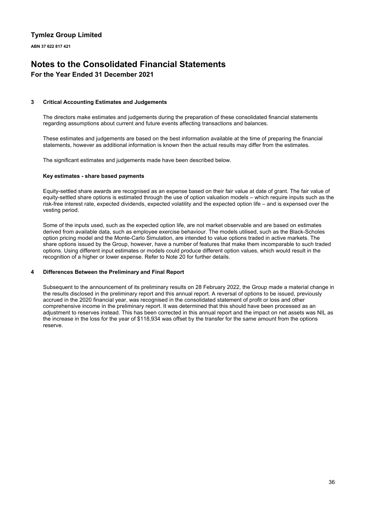**ABN 37 622 817 421**

# **Notes to the Consolidated Financial Statements**

# **For the Year Ended 31 December 2021**

### **3 Critical Accounting Estimates and Judgements**

The directors make estimates and judgements during the preparation of these consolidated financial statements regarding assumptions about current and future events affecting transactions and balances.

These estimates and judgements are based on the best information available at the time of preparing the financial statements, however as additional information is known then the actual results may differ from the estimates.

The significant estimates and judgements made have been described below.

### **Key estimates - share based payments**

Equity-settled share awards are recognised as an expense based on their fair value at date of grant. The fair value of equity-settled share options is estimated through the use of option valuation models – which require inputs such as the risk-free interest rate, expected dividends, expected volatility and the expected option life – and is expensed over the vesting period.

Some of the inputs used, such as the expected option life, are not market observable and are based on estimates derived from available data, such as employee exercise behaviour. The models utilised, such as the Black-Scholes option pricing model and the Monte-Carlo Simulation, are intended to value options traded in active markets. The share options issued by the Group, however, have a number of features that make them incomparable to such traded options. Using different input estimates or models could produce different option values, which would result in the recognition of a higher or lower expense. Refer to Note 20 for further details.

### **4 Differences Between the Preliminary and Final Report**

Subsequent to the announcement of its preliminary results on 28 February 2022, the Group made a material change in the results disclosed in the preliminary report and this annual report. A reversal of options to be issued, previously accrued in the 2020 financial year, was recognised in the consolidated statement of profit or loss and other comprehensive income in the preliminary report. It was determined that this should have been processed as an adjustment to reserves instead. This has been corrected in this annual report and the impact on net assets was NIL as the increase in the loss for the year of \$118,934 was offset by the transfer for the same amount from the options reserve.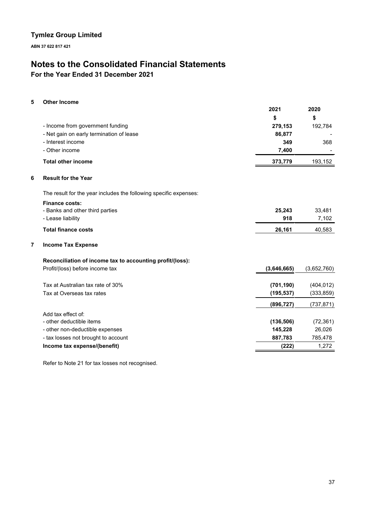**ABN 37 622 817 421**

# **Notes to the Consolidated Financial Statements**

**For the Year Ended 31 December 2021**

### **5 Other Income**

|   |                                                                   | 2021        | 2020        |
|---|-------------------------------------------------------------------|-------------|-------------|
|   |                                                                   | \$          | \$          |
|   | - Income from government funding                                  | 279,153     | 192,784     |
|   | - Net gain on early termination of lease                          | 86,877      |             |
|   | - Interest income                                                 | 349         | 368         |
|   | - Other income                                                    | 7,400       |             |
|   | <b>Total other income</b>                                         | 373,779     | 193,152     |
| 6 | <b>Result for the Year</b>                                        |             |             |
|   | The result for the year includes the following specific expenses: |             |             |
|   | <b>Finance costs:</b>                                             |             |             |
|   | - Banks and other third parties                                   | 25,243      | 33,481      |
|   | - Lease liability                                                 | 918         | 7,102       |
|   | <b>Total finance costs</b>                                        | 26,161      | 40,583      |
| 7 | <b>Income Tax Expense</b>                                         |             |             |
|   | Reconciliation of income tax to accounting profit/(loss):         |             |             |
|   | Profit/(loss) before income tax                                   | (3,646,665) | (3,652,760) |
|   | Tax at Australian tax rate of 30%                                 | (701, 190)  | (404, 012)  |
|   | Tax at Overseas tax rates                                         | (195, 537)  | (333, 859)  |
|   |                                                                   | (896, 727)  | (737, 871)  |
|   | Add tax effect of:                                                |             |             |
|   | - other deductible items                                          | (136, 506)  | (72, 361)   |
|   | - other non-deductible expenses                                   | 145,228     | 26,026      |
|   | - tax losses not brought to account                               | 887,783     | 785,478     |
|   | Income tax expense/(benefit)                                      | (222)       | 1,272       |

Refer to Note 21 for tax losses not recognised.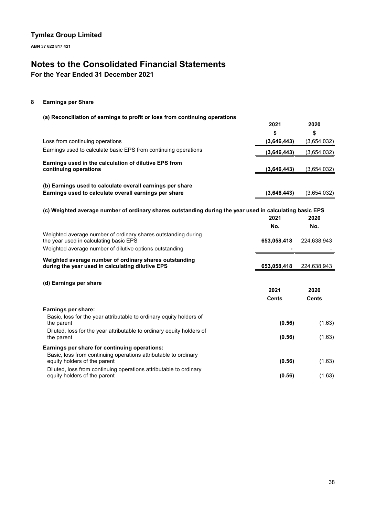**ABN 37 622 817 421**

# **Notes to the Consolidated Financial Statements**

**For the Year Ended 31 December 2021**

### **8 Earnings per Share**

### **(a) Reconciliation of earnings to profit or loss from continuing operations**

|                                                                                                                                                                    | 2021        | 2020        |
|--------------------------------------------------------------------------------------------------------------------------------------------------------------------|-------------|-------------|
|                                                                                                                                                                    | \$          | \$          |
| Loss from continuing operations                                                                                                                                    | (3,646,443) | (3,654,032) |
| Earnings used to calculate basic EPS from continuing operations                                                                                                    | (3,646,443) | (3,654,032) |
| Earnings used in the calculation of dilutive EPS from<br>continuing operations                                                                                     | (3,646,443) | (3,654,032) |
| (b) Earnings used to calculate overall earnings per share                                                                                                          |             |             |
| Earnings used to calculate overall earnings per share                                                                                                              | (3,646,443) | (3,654,032) |
| (c) Weighted average number of ordinary shares outstanding during the year used in calculating basic EPS                                                           | 2021        | 2020        |
|                                                                                                                                                                    | No.         | No.         |
| Weighted average number of ordinary shares outstanding during<br>the year used in calculating basic EPS<br>Weighted average number of dilutive options outstanding | 653,058,418 | 224,638,943 |
| Weighted average number of ordinary shares outstanding<br>during the year used in calculating dilutive EPS                                                         | 653,058,418 | 224,638,943 |
| (d) Earnings per share                                                                                                                                             | 2021        | 2020        |

|                                                                                                   | Cents  | Cents  |
|---------------------------------------------------------------------------------------------------|--------|--------|
| Earnings per share:                                                                               |        |        |
| Basic, loss for the year attributable to ordinary equity holders of<br>the parent                 | (0.56) | (1.63) |
| Diluted, loss for the year attributable to ordinary equity holders of<br>the parent               | (0.56) | (1.63) |
| Earnings per share for continuing operations:                                                     |        |        |
| Basic, loss from continuing operations attributable to ordinary<br>equity holders of the parent   | (0.56) | (1.63) |
| Diluted, loss from continuing operations attributable to ordinary<br>equity holders of the parent | (0.56) | (1.63) |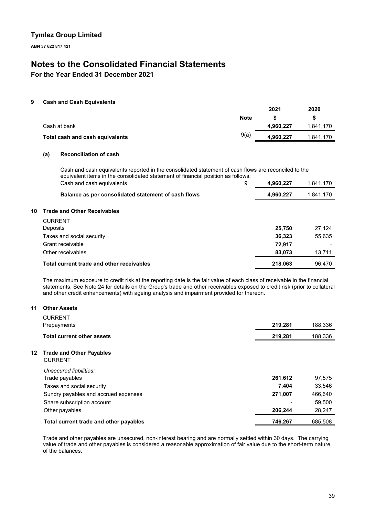**ABN 37 622 817 421**

# **Notes to the Consolidated Financial Statements**

**For the Year Ended 31 December 2021**

### **9 Cash and Cash Equivalents**

|                                 |             | 2021      | 2020      |
|---------------------------------|-------------|-----------|-----------|
|                                 | <b>Note</b> |           |           |
| Cash at bank                    |             | 4,960,227 | 1,841,170 |
| Total cash and cash equivalents | 9(a)        | 4,960,227 | 1.841.170 |

### **(a) Reconciliation of cash**

Cash and cash equivalents reported in the consolidated statement of cash flows are reconciled to the equivalent items in the consolidated statement of financial position as follows: Cash and cash equivalents 9 **4,960,227** 1,841,170

|    | Balance as per consolidated statement of cash flows | 4,960,227 | 1,841,170 |
|----|-----------------------------------------------------|-----------|-----------|
|    |                                                     |           |           |
| 10 | <b>Trade and Other Receivables</b>                  |           |           |
|    | <b>CURRENT</b>                                      |           |           |
|    | Deposits                                            | 25,750    | 27.124    |
|    | Taxes and social security                           | 36,323    | 55,635    |
|    | Grant receivable                                    | 72,917    |           |
|    | Other receivables                                   | 83.073    | 13,711    |
|    | Total current trade and other receivables           | 218.063   | 96,470    |

The maximum exposure to credit risk at the reporting date is the fair value of each class of receivable in the financial statements. See Note 24 for details on the Group's trade and other receivables exposed to credit risk (prior to collateral and other credit enhancements) with ageing analysis and impairment provided for thereon.

### **11 Other Assets**

| <b>CURRENT</b><br>Prepayments                           | 219,281 | 188,336 |
|---------------------------------------------------------|---------|---------|
| <b>Total current other assets</b>                       | 219,281 | 188,336 |
| <b>Trade and Other Payables</b><br>12<br><b>CURRENT</b> |         |         |
| Unsecured liabilities:                                  |         |         |
| Trade payables                                          | 261,612 | 97,575  |
| Taxes and social security                               | 7,404   | 33,546  |
| Sundry payables and accrued expenses                    | 271,007 | 466,640 |
| Share subscription account                              |         | 59,500  |
| Other payables                                          | 206,244 | 28,247  |
| Total current trade and other payables                  | 746,267 | 685,508 |

Trade and other payables are unsecured, non-interest bearing and are normally settled within 30 days. The carrying value of trade and other payables is considered a reasonable approximation of fair value due to the short-term nature of the balances.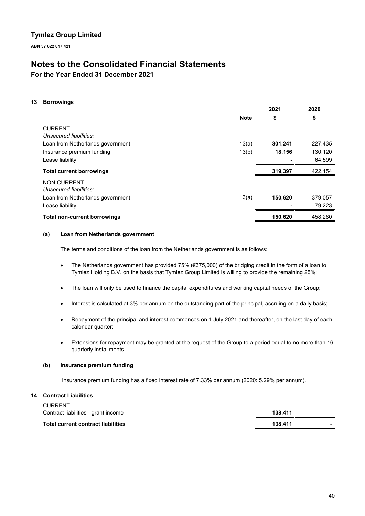**ABN 37 622 817 421**

# **Notes to the Consolidated Financial Statements**

**For the Year Ended 31 December 2021**

### **13 Borrowings**

|                                     |             | 2021    | 2020    |
|-------------------------------------|-------------|---------|---------|
|                                     | <b>Note</b> | \$      | \$      |
| <b>CURRENT</b>                      |             |         |         |
| Unsecured liabilities:              |             |         |         |
| Loan from Netherlands government    | 13(a)       | 301,241 | 227,435 |
| Insurance premium funding           | 13(b)       | 18,156  | 130,120 |
| Lease liability                     |             |         | 64,599  |
| <b>Total current borrowings</b>     |             | 319,397 | 422,154 |
| NON-CURRENT                         |             |         |         |
| Unsecured liabilities:              |             |         |         |
| Loan from Netherlands government    | 13(a)       | 150,620 | 379,057 |
| Lease liability                     |             |         | 79,223  |
| <b>Total non-current borrowings</b> |             | 150,620 | 458,280 |
|                                     |             |         |         |

### **(a) Loan from Netherlands government**

The terms and conditions of the loan from the Netherlands government is as follows:

- The Netherlands government has provided 75% (€375,000) of the bridging credit in the form of a loan to Tymlez Holding B.V. on the basis that Tymlez Group Limited is willing to provide the remaining 25%;
- The loan will only be used to finance the capital expenditures and working capital needs of the Group;
- Interest is calculated at 3% per annum on the outstanding part of the principal, accruing on a daily basis;
- Repayment of the principal and interest commences on 1 July 2021 and thereafter, on the last day of each calendar quarter;
- Extensions for repayment may be granted at the request of the Group to a period equal to no more than 16 quarterly installments.

### **(b) Insurance premium funding**

Insurance premium funding has a fixed interest rate of 7.33% per annum (2020: 5.29% per annum).

### **14 Contract Liabilities**

CURRENT

| CURRENT                                   |         |  |
|-------------------------------------------|---------|--|
| Contract liabilities - grant income       | 138.411 |  |
| <b>Total current contract liabilities</b> | 138.411 |  |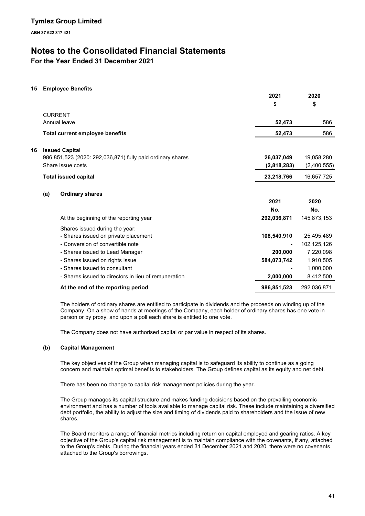# **Notes to the Consolidated Financial Statements**

**For the Year Ended 31 December 2021**

### **15 Employee Benefits**

**16 Issued Capital**

|     |                                                            | 2021        | 2020        |
|-----|------------------------------------------------------------|-------------|-------------|
|     |                                                            | \$          | \$          |
|     | <b>CURRENT</b>                                             |             |             |
|     | Annual leave                                               | 52,473      | 586         |
|     | <b>Total current employee benefits</b>                     | 52,473      | 586         |
|     |                                                            |             |             |
|     | <b>Issued Capital</b>                                      |             |             |
|     | 986,851,523 (2020: 292,036,871) fully paid ordinary shares | 26,037,049  | 19,058,280  |
|     | Share issue costs                                          | (2,818,283) | (2,400,555) |
|     | <b>Total issued capital</b>                                | 23,218,766  | 16,657,725  |
|     |                                                            |             |             |
| (a) | <b>Ordinary shares</b>                                     |             |             |
|     |                                                            | 2021        | 2020        |
|     |                                                            | No.         | No.         |
|     | At the beginning of the reporting year                     | 292,036,871 | 145,873,153 |
|     | Shares issued during the year:                             |             |             |
|     | - Shares issued on private placement                       | 108,540,910 | 25,495,489  |
|     | - Conversion of convertible note                           |             | 102,125,126 |
|     | - Shares issued to Lead Manager                            | 200,000     | 7,220,098   |
|     | - Shares issued on rights issue                            | 584,073,742 | 1,910,505   |
|     | - Shares issued to consultant                              |             | 1,000,000   |
|     | - Shares issued to directors in lieu of remuneration       | 2,000,000   | 8,412,500   |
|     | At the end of the reporting period                         | 986,851,523 | 292,036,871 |

The holders of ordinary shares are entitled to participate in dividends and the proceeds on winding up of the Company. On a show of hands at meetings of the Company, each holder of ordinary shares has one vote in person or by proxy, and upon a poll each share is entitled to one vote.

The Company does not have authorised capital or par value in respect of its shares.

### **(b) Capital Management**

The key objectives of the Group when managing capital is to safeguard its ability to continue as a going concern and maintain optimal benefits to stakeholders. The Group defines capital as its equity and net debt.

There has been no change to capital risk management policies during the year.

The Group manages its capital structure and makes funding decisions based on the prevailing economic environment and has a number of tools available to manage capital risk. These include maintaining a diversified debt portfolio, the ability to adjust the size and timing of dividends paid to shareholders and the issue of new shares.

The Board monitors a range of financial metrics including return on capital employed and gearing ratios. A key objective of the Group's capital risk management is to maintain compliance with the covenants, if any, attached to the Group's debts. During the financial years ended 31 December 2021 and 2020, there were no covenants attached to the Group's borrowings.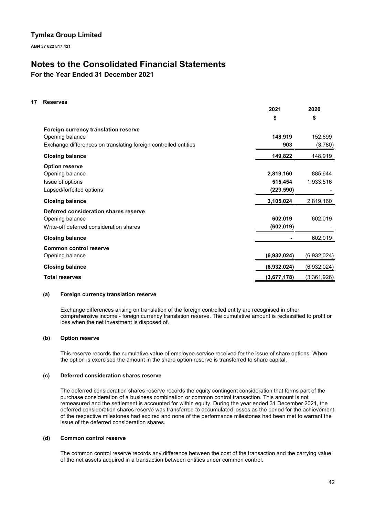**ABN 37 622 817 421**

# **Notes to the Consolidated Financial Statements**

**For the Year Ended 31 December 2021**

### **17 Reserves**

|                                                                 | ZUZT        | ZUZU        |
|-----------------------------------------------------------------|-------------|-------------|
|                                                                 | \$          | \$          |
| Foreign currency translation reserve                            |             |             |
| Opening balance                                                 | 148,919     | 152,699     |
| Exchange differences on translating foreign controlled entities | 903         | (3,780)     |
| <b>Closing balance</b>                                          | 149,822     | 148,919     |
| <b>Option reserve</b>                                           |             |             |
| Opening balance                                                 | 2,819,160   | 885,644     |
| Issue of options                                                | 515,454     | 1,933,516   |
| Lapsed/forfeited options                                        | (229, 590)  |             |
| <b>Closing balance</b>                                          | 3,105,024   | 2,819,160   |
| Deferred consideration shares reserve                           |             |             |
| Opening balance                                                 | 602,019     | 602,019     |
| Write-off deferred consideration shares                         | (602, 019)  |             |
| <b>Closing balance</b>                                          |             | 602,019     |
| <b>Common control reserve</b>                                   |             |             |
| Opening balance                                                 | (6,932,024) | (6,932,024) |
| <b>Closing balance</b>                                          | (6,932,024) | (6,932,024) |
| <b>Total reserves</b>                                           | (3,677,178) | (3,361,926) |

**2021**

**2020**

### **(a) Foreign currency translation reserve**

Exchange differences arising on translation of the foreign controlled entity are recognised in other comprehensive income - foreign currency translation reserve. The cumulative amount is reclassified to profit or loss when the net investment is disposed of.

### **(b) Option reserve**

This reserve records the cumulative value of employee service received for the issue of share options. When the option is exercised the amount in the share option reserve is transferred to share capital.

### **(c) Deferred consideration shares reserve**

The deferred consideration shares reserve records the equity contingent consideration that forms part of the purchase consideration of a business combination or common control transaction. This amount is not remeasured and the settlement is accounted for within equity. During the year ended 31 December 2021, the deferred consideration shares reserve was transferred to accumulated losses as the period for the achievement of the respective milestones had expired and none of the performance milestones had been met to warrant the issue of the deferred consideration shares.

### **(d) Common control reserve**

The common control reserve records any difference between the cost of the transaction and the carrying value of the net assets acquired in a transaction between entities under common control.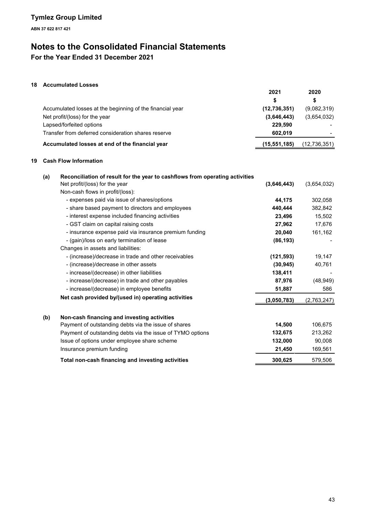# **Notes to the Consolidated Financial Statements**

**For the Year Ended 31 December 2021**

## **18 Accumulated Losses**

|                                                           | 2021           | 2020         |
|-----------------------------------------------------------|----------------|--------------|
|                                                           | S              | S            |
| Accumulated losses at the beginning of the financial year | (12, 736, 351) | (9,082,319)  |
| Net profit/(loss) for the year                            | (3,646,443)    | (3,654,032)  |
| Lapsed/forfeited options                                  | 229.590        |              |
| Transfer from deferred consideration shares reserve       | 602.019        |              |
| Accumulated losses at end of the financial year           | (15, 551, 185) | (12,736,351) |

### **19 Cash Flow Information**

| (a) | Reconciliation of result for the year to cashflows from operating activities |             |             |
|-----|------------------------------------------------------------------------------|-------------|-------------|
|     | Net profit/(loss) for the year                                               | (3,646,443) | (3,654,032) |
|     | Non-cash flows in profit/(loss):                                             |             |             |
|     | - expenses paid via issue of shares/options                                  | 44.175      | 302,058     |
|     | - share based payment to directors and employees                             | 440.444     | 382,842     |
|     | - interest expense included financing activities                             | 23,496      | 15,502      |
|     | - GST claim on capital raising costs                                         | 27,962      | 17,676      |
|     | - insurance expense paid via insurance premium funding                       | 20,040      | 161,162     |
|     | - (gain)/loss on early termination of lease                                  | (86, 193)   |             |
|     | Changes in assets and liabilities:                                           |             |             |
|     | - (increase)/decrease in trade and other receivables                         | (121, 593)  | 19,147      |
|     | - (increase)/decrease in other assets                                        | (30, 945)   | 40,761      |
|     | - increase/(decrease) in other liabilities                                   | 138,411     |             |
|     | - increase/(decrease) in trade and other payables                            | 87,976      | (48, 949)   |
|     | - increase/(decrease) in employee benefits                                   | 51,887      | 586         |
|     | Net cash provided by/(used in) operating activities                          | (3,050,783) | (2,763,247) |
| (b) | Non-cash financing and investing activities                                  |             |             |
|     | Payment of outstanding debts via the issue of shares                         | 14,500      | 106,675     |
|     | Payment of outstanding debts via the issue of TYMO options                   | 132,675     | 213,262     |
|     | Issue of options under employee share scheme                                 | 132,000     | 90,008      |
|     | Insurance premium funding                                                    | 21,450      | 169,561     |
|     | Total non-cash financing and investing activities                            | 300,625     | 579,506     |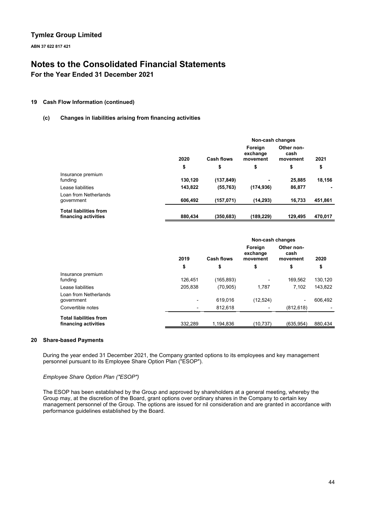**ABN 37 622 817 421**

# **Notes to the Consolidated Financial Statements**

**For the Year Ended 31 December 2021**

### **19 Cash Flow Information (continued)**

### **(c) Changes in liabilities arising from financing activities**

|                                                       |         |                   | Non-cash changes                |                                |         |  |
|-------------------------------------------------------|---------|-------------------|---------------------------------|--------------------------------|---------|--|
|                                                       | 2020    | <b>Cash flows</b> | Foreign<br>exchange<br>movement | Other non-<br>cash<br>movement | 2021    |  |
|                                                       | \$      | \$                | \$                              | \$                             | \$      |  |
| Insurance premium<br>funding                          | 130,120 | (137, 849)        |                                 | 25,885                         | 18.156  |  |
| Lease liabilities                                     | 143,822 | (55, 763)         | (174, 936)                      | 86,877                         |         |  |
| Loan from Netherlands<br>government                   | 606.492 | (157, 071)        | (14, 293)                       | 16.733                         | 451,861 |  |
| <b>Total liabilities from</b><br>financing activities | 880,434 | (350.683)         | (189,229)                       | 129,495                        | 470,017 |  |

|                                                       |         | Non-cash changes  |                                 |                                |         |
|-------------------------------------------------------|---------|-------------------|---------------------------------|--------------------------------|---------|
|                                                       | 2019    | <b>Cash flows</b> | Foreign<br>exchange<br>movement | Other non-<br>cash<br>movement | 2020    |
|                                                       | \$      | \$                | \$                              | \$                             | \$      |
| Insurance premium<br>funding                          | 126,451 | (165, 893)        |                                 | 169,562                        | 130,120 |
| Lease liabilities                                     | 205.838 | (70, 905)         | 1,787                           | 7,102                          | 143,822 |
| Loan from Netherlands<br>government                   | ٠       | 619,016           | (12, 524)                       | $\overline{\phantom{a}}$       | 606,492 |
| Convertible notes                                     |         | 812,618           |                                 | (812, 618)                     |         |
| <b>Total liabilities from</b><br>financing activities | 332.289 | 1.194.836         | (10.737)                        | (635.954)                      | 880.434 |

### **20 Share-based Payments**

During the year ended 31 December 2021, the Company granted options to its employees and key management personnel pursuant to its Employee Share Option Plan ("ESOP").

### *Employee Share Option Plan ("ESOP")*

The ESOP has been established by the Group and approved by shareholders at a general meeting, whereby the Group may, at the discretion of the Board, grant options over ordinary shares in the Company to certain key management personnel of the Group. The options are issued for nil consideration and are granted in accordance with performance guidelines established by the Board.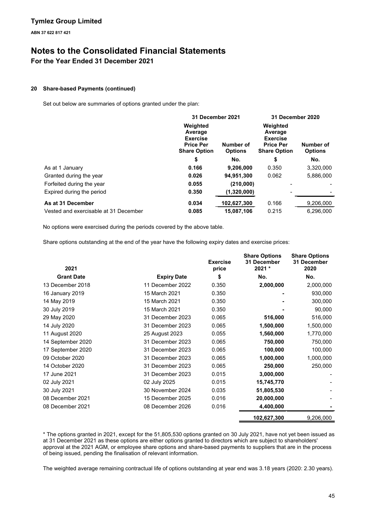# **Notes to the Consolidated Financial Statements**

## **For the Year Ended 31 December 2021**

### **20 Share-based Payments (continued)**

Set out below are summaries of options granted under the plan:

|                                       | 31 December 2021                                                                  |                             | 31 December 2020                                                                  |                             |
|---------------------------------------|-----------------------------------------------------------------------------------|-----------------------------|-----------------------------------------------------------------------------------|-----------------------------|
|                                       | Weighted<br>Average<br><b>Exercise</b><br><b>Price Per</b><br><b>Share Option</b> | Number of<br><b>Options</b> | Weighted<br>Average<br><b>Exercise</b><br><b>Price Per</b><br><b>Share Option</b> | Number of<br><b>Options</b> |
|                                       | \$                                                                                | No.                         | \$                                                                                | No.                         |
| As at 1 January                       | 0.166                                                                             | 9,206,000                   | 0.350                                                                             | 3,320,000                   |
| Granted during the year               | 0.026                                                                             | 94,951,300                  | 0.062                                                                             | 5,886,000                   |
| Forfeited during the year             | 0.055                                                                             | (210,000)                   |                                                                                   |                             |
| Expired during the period             | 0.350                                                                             | (1,320,000)                 |                                                                                   |                             |
| As at 31 December                     | 0.034                                                                             | 102,627,300                 | 0.166                                                                             | 9,206,000                   |
| Vested and exercisable at 31 December | 0.085                                                                             | 15.087.106                  | 0.215                                                                             | 6.296.000                   |

No options were exercised during the periods covered by the above table.

Share options outstanding at the end of the year have the following expiry dates and exercise prices:

| 2021              |                    | <b>Exercise</b><br>price | <b>Share Options</b><br>31 December<br>2021 * | <b>Share Options</b><br>31 December<br>2020 |
|-------------------|--------------------|--------------------------|-----------------------------------------------|---------------------------------------------|
| <b>Grant Date</b> | <b>Expiry Date</b> | \$                       | No.                                           | No.                                         |
| 13 December 2018  | 11 December 2022   | 0.350                    | 2,000,000                                     | 2,000,000                                   |
| 16 January 2019   | 15 March 2021      | 0.350                    |                                               | 930,000                                     |
| 14 May 2019       | 15 March 2021      | 0.350                    |                                               | 300,000                                     |
| 30 July 2019      | 15 March 2021      | 0.350                    |                                               | 90,000                                      |
| 29 May 2020       | 31 December 2023   | 0.065                    | 516,000                                       | 516,000                                     |
| 14 July 2020      | 31 December 2023   | 0.065                    | 1,500,000                                     | 1,500,000                                   |
| 11 August 2020    | 25 August 2023     | 0.055                    | 1,560,000                                     | 1,770,000                                   |
| 14 September 2020 | 31 December 2023   | 0.065                    | 750,000                                       | 750,000                                     |
| 17 September 2020 | 31 December 2023   | 0.065                    | 100,000                                       | 100,000                                     |
| 09 October 2020   | 31 December 2023   | 0.065                    | 1,000,000                                     | 1,000,000                                   |
| 14 October 2020   | 31 December 2023   | 0.065                    | 250,000                                       | 250,000                                     |
| 17 June 2021      | 31 December 2023   | 0.015                    | 3,000,000                                     |                                             |
| 02 July 2021      | 02 July 2025       | 0.015                    | 15,745,770                                    |                                             |
| 30 July 2021      | 30 November 2024   | 0.035                    | 51,805,530                                    |                                             |
| 08 December 2021  | 15 December 2025   | 0.016                    | 20,000,000                                    |                                             |
| 08 December 2021  | 08 December 2026   | 0.016                    | 4,400,000                                     |                                             |
|                   |                    |                          | 102,627,300                                   | 9,206,000                                   |

\* The options granted in 2021, except for the 51,805,530 options granted on 30 July 2021, have not yet been issued as at 31 December 2021 as these options are either options granted to directors which are subject to shareholders' approval at the 2021 AGM, or employee share options and share-based payments to suppliers that are in the process of being issued, pending the finalisation of relevant information.

The weighted average remaining contractual life of options outstanding at year end was 3.18 years (2020: 2.30 years).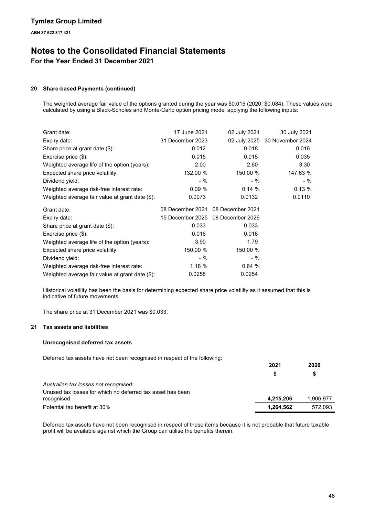# **Notes to the Consolidated Financial Statements**

**For the Year Ended 31 December 2021**

### **20 Share-based Payments (continued)**

The weighted average fair value of the options granted during the year was \$0.015 (2020: \$0.084). These values were calculated by using a Black-Scholes and Monte-Carlo option pricing model applying the following inputs:

| Grant date:                                     | 17 June 2021     | 02 July 2021                      | 30 July 2021                  |
|-------------------------------------------------|------------------|-----------------------------------|-------------------------------|
| Expiry date:                                    | 31 December 2023 |                                   | 02 July 2025 30 November 2024 |
| Share price at grant date $(\$)$ :              | 0.012            | 0.018                             | 0.016                         |
| Exercise price $(\$)$ :                         | 0.015            | 0.015                             | 0.035                         |
| Weighted average life of the option (years):    | 2.00             | 2.60                              | 3.30                          |
| Expected share price volatility:                | 132.00 %         | 150.00 %                          | 147.63 %                      |
| Dividend yield:                                 | - %              | - %                               | $-$ %                         |
| Weighted average risk-free interest rate:       | 0.09%            | 0.14%                             | 0.13%                         |
| Weighted average fair value at grant date (\$): | 0.0073           | 0.0132                            | 0.0110                        |
| Grant date:                                     | 08 December 2021 | 08 December 2021                  |                               |
| Expiry date:                                    |                  | 15 December 2025 08 December 2026 |                               |
| Share price at grant date $(\$)$ :              | 0.033            | 0.033                             |                               |
| Exercise price $(\$)$ :                         | 0.016            | 0.016                             |                               |
| Weighted average life of the option (years):    | 3.90             | 1.79                              |                               |
| Expected share price volatility:                | 150.00 %         | 150.00 %                          |                               |
| Dividend yield:                                 | - %              | - %                               |                               |
| Weighted average risk-free interest rate:       | 1.18%            | 0.64%                             |                               |
|                                                 |                  |                                   |                               |

Historical volatility has been the basis for determining expected share price volatility as it assumed that this is indicative of future movements.

The share price at 31 December 2021 was \$0.033.

### **21 Tax assets and liabilities**

### **Unrecognised deferred tax assets**

Deferred tax assets have not been recognised in respect of the following:

|                                                                          | 2021      | 2020<br>S |
|--------------------------------------------------------------------------|-----------|-----------|
| Australian tax losses not recognised:                                    |           |           |
| Unused tax losses for which no deferred tax asset has been<br>recognised | 4,215,206 | 1,906,977 |
| Potential tax benefit at 30%                                             | 1,264,562 | 572,093   |

Deferred tax assets have not been recognised in respect of these items because it is not probable that future taxable profit will be available against which the Group can utilise the benefits therein.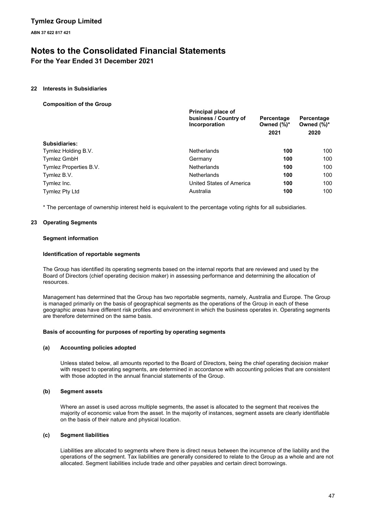# **Notes to the Consolidated Financial Statements**

**For the Year Ended 31 December 2021**

### **22 Interests in Subsidiaries**

**Composition of the Group**

|                        | Principal place of<br>business / Country of<br>Incorporation | Percentage<br>Owned $(\%)^*$<br>2021 | Percentage<br>Owned $(\%)^*$<br>2020 |  |
|------------------------|--------------------------------------------------------------|--------------------------------------|--------------------------------------|--|
| Subsidiaries:          |                                                              |                                      |                                      |  |
| Tymlez Holding B.V.    | Netherlands                                                  | 100                                  | 100                                  |  |
| <b>Tymlez GmbH</b>     | Germany                                                      | 100                                  | 100                                  |  |
| Tymlez Properties B.V. | <b>Netherlands</b>                                           | 100                                  | 100                                  |  |
| Tymlez B.V.            | <b>Netherlands</b>                                           | 100                                  | 100                                  |  |
| Tymlez Inc.            | United States of America                                     | 100                                  | 100                                  |  |
| Tymlez Pty Ltd         | Australia                                                    | 100                                  | 100                                  |  |
|                        |                                                              |                                      |                                      |  |

\* The percentage of ownership interest held is equivalent to the percentage voting rights for all subsidiaries.

### **23 Operating Segments**

### **Segment information**

### **Identification of reportable segments**

The Group has identified its operating segments based on the internal reports that are reviewed and used by the Board of Directors (chief operating decision maker) in assessing performance and determining the allocation of resources.

Management has determined that the Group has two reportable segments, namely, Australia and Europe. The Group is managed primarily on the basis of geographical segments as the operations of the Group in each of these geographic areas have different risk profiles and environment in which the business operates in. Operating segments are therefore determined on the same basis.

### **Basis of accounting for purposes of reporting by operating segments**

### **(a) Accounting policies adopted**

Unless stated below, all amounts reported to the Board of Directors, being the chief operating decision maker with respect to operating segments, are determined in accordance with accounting policies that are consistent with those adopted in the annual financial statements of the Group.

### **(b) Segment assets**

Where an asset is used across multiple segments, the asset is allocated to the segment that receives the majority of economic value from the asset. In the majority of instances, segment assets are clearly identifiable on the basis of their nature and physical location.

### **(c) Segment liabilities**

Liabilities are allocated to segments where there is direct nexus between the incurrence of the liability and the operations of the segment. Tax liabilities are generally considered to relate to the Group as a whole and are not allocated. Segment liabilities include trade and other payables and certain direct borrowings.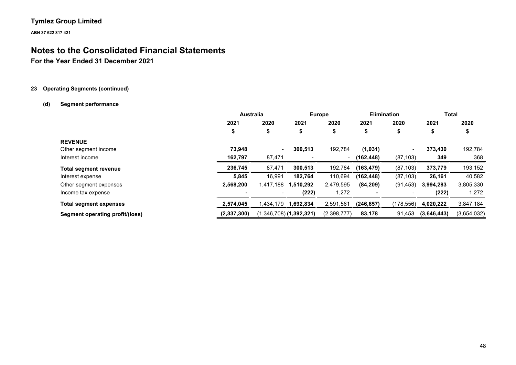**ABN 37 622 817 421**

# **Notes to the Consolidated Financial Statements**

**For the Year Ended 31 December 2021**

### **23 Operating Segments (continued)**

### **(d) Segment performance**

|                                 | <b>Australia</b> |                | <b>Europe</b>             |             | <b>Elimination</b> |                          | Total       |             |
|---------------------------------|------------------|----------------|---------------------------|-------------|--------------------|--------------------------|-------------|-------------|
|                                 | 2021             | 2020           | 2021                      | 2020        | 2021               | 2020                     | 2021        | 2020        |
|                                 | \$               | \$             | \$                        | \$          | \$                 | \$                       | Φ           | ъ           |
| <b>REVENUE</b>                  |                  |                |                           |             |                    |                          |             |             |
| Other segment income            | 73.948           | $\blacksquare$ | 300,513                   | 192,784     | (1,031)            | $\overline{\phantom{0}}$ | 373,430     | 192,784     |
| Interest income                 | 162,797          | 87,471         |                           | $\sim$      | (162, 448)         | (87, 103)                | 349         | 368         |
| <b>Total segment revenue</b>    | 236,745          | 87,471         | 300,513                   | 192,784     | (163, 479)         | (87, 103)                | 373,779     | 193,152     |
| Interest expense                | 5,845            | 16,991         | 182,764                   | 110,694     | (162, 448)         | (87, 103)                | 26,161      | 40,582      |
| Other segment expenses          | 2.568.200        | 1,417,188      | 1,510,292                 | 2,479,595   | (84, 209)          | (91, 453)                | 3,994,283   | 3,805,330   |
| Income tax expense              |                  | $\blacksquare$ | (222)                     | 1,272       |                    |                          | (222)       | 1,272       |
| <b>Total segment expenses</b>   | 2,574,045        | .434,179       | 1,692,834                 | 2,591,561   | (246, 657)         | (178,556)                | 4,020,222   | 3,847,184   |
| Segment operating profit/(loss) | (2,337,300)      |                | $(1,346,708)$ (1,392,321) | (2,398,777) | 83,178             | 91,453                   | (3,646,443) | (3,654,032) |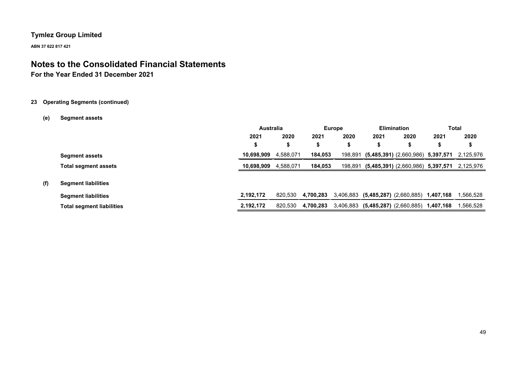**ABN 37 622 817 421**

# **Notes to the Consolidated Financial Statements**

## **For the Year Ended 31 December 2021**

### **23 Operating Segments (continued)**

### **(e) Segment assets**

|     |                                  | <b>Australia</b> |           | <b>Europe</b> |         |                                             | <b>Elimination</b>                    |           | Total     |
|-----|----------------------------------|------------------|-----------|---------------|---------|---------------------------------------------|---------------------------------------|-----------|-----------|
|     |                                  | 2021             | 2020      | 2021          | 2020    | 2021                                        | 2020                                  | 2021      | 2020      |
|     |                                  |                  |           | J             | э       | \$                                          | \$                                    | S         | \$        |
|     | <b>Segment assets</b>            | 10.698.909       | 4,588,071 | 184,053       | 198,891 |                                             | $(5,485,391)$ $(2,660,986)$ 5,397,571 |           | 2,125,976 |
|     | <b>Total segment assets</b>      | 10,698,909       | 4,588,071 | 184,053       | 198,891 |                                             | $(5,485,391)$ $(2,660,986)$ 5,397,571 |           | 2,125,976 |
| (f) | <b>Segment liabilities</b>       |                  |           |               |         |                                             |                                       |           |           |
|     | <b>Segment liabilities</b>       | 2,192,172        | 820,530   | 4,700,283     |         | 3,406,883 (5,485,287) (2,660,885) 1,407,168 |                                       |           | 1,566,528 |
|     | <b>Total segment liabilities</b> | 2,192,172        | 820,530   | 4,700,283     |         | 3,406,883 (5,485,287) (2,660,885)           |                                       | 1,407,168 | 1,566,528 |
|     |                                  |                  |           |               |         |                                             |                                       |           |           |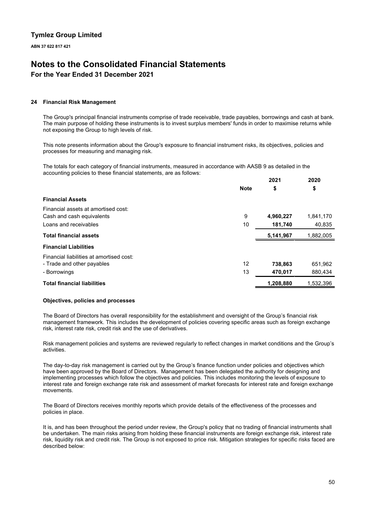# **Notes to the Consolidated Financial Statements**

## **For the Year Ended 31 December 2021**

### **24 Financial Risk Management**

The Group's principal financial instruments comprise of trade receivable, trade payables, borrowings and cash at bank. The main purpose of holding these instruments is to invest surplus members' funds in order to maximise returns while not exposing the Group to high levels of risk.

This note presents information about the Group's exposure to financial instrument risks, its objectives, policies and processes for measuring and managing risk.

The totals for each category of financial instruments, measured in accordance with AASB 9 as detailed in the accounting policies to these financial statements, are as follows: **2021 2020**

|                                          |             | 2021      | 2020      |
|------------------------------------------|-------------|-----------|-----------|
|                                          | <b>Note</b> | \$        | \$        |
| <b>Financial Assets</b>                  |             |           |           |
| Financial assets at amortised cost:      |             |           |           |
| Cash and cash equivalents                | 9           | 4,960,227 | 1,841,170 |
| Loans and receivables                    | 10          | 181,740   | 40,835    |
| <b>Total financial assets</b>            |             | 5,141,967 | 1,882,005 |
| <b>Financial Liabilities</b>             |             |           |           |
| Financial liabilities at amortised cost: |             |           |           |
| - Trade and other payables               | 12          | 738,863   | 651,962   |
| - Borrowings                             | 13          | 470,017   | 880,434   |
| <b>Total financial liabilities</b>       |             | 1,208,880 | 1,532,396 |

### **Objectives, policies and processes**

The Board of Directors has overall responsibility for the establishment and oversight of the Group's financial risk management framework. This includes the development of policies covering specific areas such as foreign exchange risk, interest rate risk, credit risk and the use of derivatives.

Risk management policies and systems are reviewed regularly to reflect changes in market conditions and the Group's activities.

The day-to-day risk management is carried out by the Group's finance function under policies and objectives which have been approved by the Board of Directors. Management has been delegated the authority for designing and implementing processes which follow the objectives and policies. This includes monitoring the levels of exposure to interest rate and foreign exchange rate risk and assessment of market forecasts for interest rate and foreign exchange movements.

The Board of Directors receives monthly reports which provide details of the effectiveness of the processes and policies in place.

It is, and has been throughout the period under review, the Group's policy that no trading of financial instruments shall be undertaken. The main risks arising from holding these financial instruments are foreign exchange risk, interest rate risk, liquidity risk and credit risk. The Group is not exposed to price risk. Mitigation strategies for specific risks faced are described below: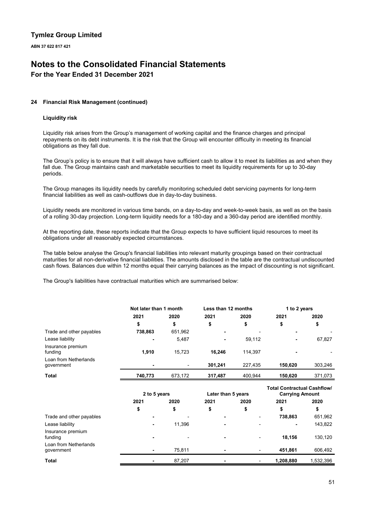**ABN 37 622 817 421**

# **Notes to the Consolidated Financial Statements**

**For the Year Ended 31 December 2021**

### **24 Financial Risk Management (continued)**

### **Liquidity risk**

Liquidity risk arises from the Group's management of working capital and the finance charges and principal repayments on its debt instruments. It is the risk that the Group will encounter difficulty in meeting its financial obligations as they fall due.

The Group's policy is to ensure that it will always have sufficient cash to allow it to meet its liabilities as and when they fall due. The Group maintains cash and marketable securities to meet its liquidity requirements for up to 30-day periods.

The Group manages its liquidity needs by carefully monitoring scheduled debt servicing payments for long-term financial liabilities as well as cash-outflows due in day-to-day business.

Liquidity needs are monitored in various time bands, on a day-to-day and week-to-week basis, as well as on the basis of a rolling 30-day projection. Long-term liquidity needs for a 180-day and a 360-day period are identified monthly.

At the reporting date, these reports indicate that the Group expects to have sufficient liquid resources to meet its obligations under all reasonably expected circumstances.

The table below analyse the Group's financial liabilities into relevant maturity groupings based on their contractual maturities for all non-derivative financial liabilities. The amounts disclosed in the table are the contractual undiscounted cash flows. Balances due within 12 months equal their carrying balances as the impact of discounting is not significant.

The Group's liabilities have contractual maturities which are summarised below:

| Not later than 1 month |         | Less than 12 months |         | 1 to 2 years |         |
|------------------------|---------|---------------------|---------|--------------|---------|
| 2021                   | 2020    | 2021                | 2020    | 2021         | 2020    |
| \$                     | \$      | \$                  | \$      | \$           | \$      |
| 738,863                | 651,962 | ٠                   |         |              |         |
|                        | 5,487   | ٠                   | 59,112  |              | 67,827  |
| 1,910                  | 15,723  | 16,246              | 114.397 |              |         |
| ۰                      |         | 301,241             | 227,435 | 150,620      | 303,246 |
| 740,773                | 673,172 | 317,487             | 400.944 | 150,620      | 371,073 |
|                        |         |                     |         |              |         |

|                                     | 2 to 5 years |        | Later than 5 years |                          | Total Contractual Cashflow/<br><b>Carrying Amount</b> |           |
|-------------------------------------|--------------|--------|--------------------|--------------------------|-------------------------------------------------------|-----------|
|                                     | 2021         | 2020   | 2021               | 2020                     | 2021                                                  | 2020      |
|                                     | \$           | \$     | \$                 | \$                       |                                                       | \$        |
| Trade and other payables            |              |        | ٠                  | $\overline{\phantom{0}}$ | 738,863                                               | 651,962   |
| Lease liability                     |              | 11,396 | ٠                  | $\overline{\phantom{0}}$ |                                                       | 143,822   |
| Insurance premium<br>funding        |              |        | ٠                  | ٠                        | 18.156                                                | 130,120   |
| Loan from Netherlands<br>government |              | 75,811 | ٠                  | $\overline{\phantom{0}}$ | 451.861                                               | 606.492   |
| <b>Total</b>                        |              | 87,207 |                    |                          | 1,208,880                                             | 1,532,396 |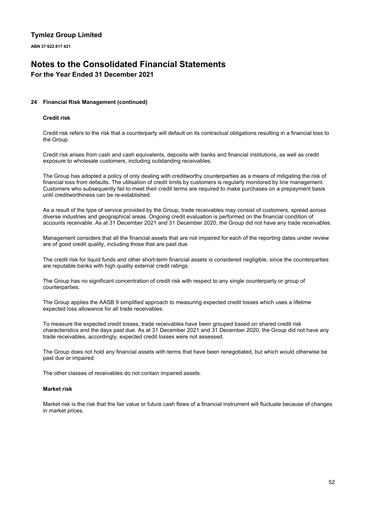**ABN 37 622 817 421**

# **Notes to the Consolidated Financial Statements**

**For the Year Ended 31 December 2021**

### **24 Financial Risk Management (continued)**

### **Credit risk**

Credit risk refers to the risk that a counterparty will default on its contractual obligations resulting in a financial loss to the Group.

Credit risk arises from cash and cash equivalents, deposits with banks and financial institutions, as well as credit exposure to wholesale customers, including outstanding receivables.

The Group has adopted a policy of only dealing with creditworthy counterparties as a means of mitigating the risk of financial loss from defaults. The utilisation of credit limits by customers is regularly monitored by line management. Customers who subsequently fail to meet their credit terms are required to make purchases on a prepayment basis until creditworthiness can be re-established.

As a result of the type of service provided by the Group, trade receivables may consist of customers, spread across diverse industries and geographical areas. Ongoing credit evaluation is performed on the financial condition of accounts receivable. As at 31 December 2021 and 31 December 2020, the Group did not have any trade receivables.

Management considers that all the financial assets that are not impaired for each of the reporting dates under review are of good credit quality, including those that are past due.

The credit risk for liquid funds and other short-term financial assets is considered negligible, since the counterparties are reputable banks with high quality external credit ratings.

The Group has no significant concentration of credit risk with respect to any single counterparty or group of counterparties.

The Group applies the AASB 9 simplified approach to measuring expected credit losses which uses a lifetime expected loss allowance for all trade receivables.

To measure the expected credit losses, trade receivables have been grouped based on shared credit risk characteristics and the days past due. As at 31 December 2021 and 31 December 2020, the Group did not have any trade receivables, accordingly, expected credit losses were not assessed.

The Group does not hold any financial assets with terms that have been renegotiated, but which would otherwise be past due or impaired.

The other classes of receivables do not contain impaired assets.

### **Market risk**

Market risk is the risk that the fair value or future cash flows of a financial instrument will fluctuate because of changes in market prices.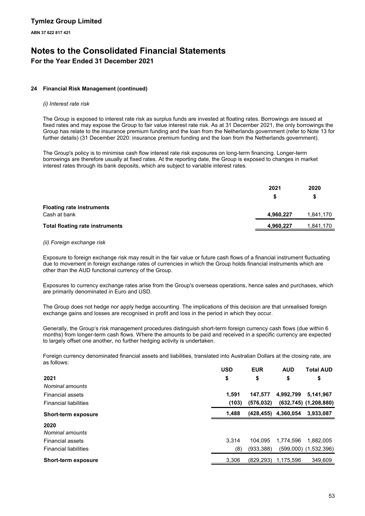## **Notes to the Consolidated Financial Statements For the Year Ended 31 December 2021**

### **24 Financial Risk Management (continued)**

### *(i) Interest rate risk*

The Group is exposed to interest rate risk as surplus funds are invested at floating rates. Borrowings are issued at fixed rates and may expose the Group to fair value interest rate risk. As at 31 December 2021, the only borrowings the Group has relate to the insurance premium funding and the loan from the Netherlands government (refer to Note 13 for further details) (31 December 2020: insurance premium funding and the loan from the Netherlands government).

The Group's policy is to minimise cash flow interest rate risk exposures on long-term financing. Longer-term borrowings are therefore usually at fixed rates. At the reporting date, the Group is exposed to changes in market interest rates through its bank deposits, which are subject to variable interest rates.

|                                                  | 2021      | 2020<br>S |
|--------------------------------------------------|-----------|-----------|
| <b>Floating rate instruments</b><br>Cash at bank | 4,960,227 | 1,841,170 |
| <b>Total floating rate instruments</b>           | 4,960,227 | 1,841,170 |

### *(ii) Foreign exchange risk*

Exposure to foreign exchange risk may result in the fair value or future cash flows of a financial instrument fluctuating due to movement in foreign exchange rates of currencies in which the Group holds financial instruments which are other than the AUD functional currency of the Group.

Exposures to currency exchange rates arise from the Group's overseas operations, hence sales and purchases, which are primarily denominated in Euro and USD.

The Group does not hedge nor apply hedge accounting. The implications of this decision are that unrealised foreign exchange gains and losses are recognised in profit and loss in the period in which they occur.

Generally, the Group's risk management procedures distinguish short-term foreign currency cash flows (due within 6 months) from longer-term cash flows. Where the amounts to be paid and received in a specific currency are expected to largely offset one another, no further hedging activity is undertaken.

Foreign currency denominated financial assets and liabilities, translated into Australian Dollars at the closing rate, are as follows:

|                              | <b>USD</b> | <b>EUR</b> | <b>AUD</b> | <b>Total AUD</b>             |
|------------------------------|------------|------------|------------|------------------------------|
| 2021                         | \$         | \$         | \$         | \$                           |
| Nominal amounts              |            |            |            |                              |
| <b>Financial assets</b>      | 1.591      | 147.577    | 4,992,799  | 5,141,967                    |
| <b>Financial liabilities</b> | (103)      | (576, 032) |            | $(632, 745)$ $(1, 208, 880)$ |
| <b>Short-term exposure</b>   | 1,488      | (428,455)  | 4,360,054  | 3,933,087                    |
| 2020<br>Nominal amounts      |            |            |            |                              |
| <b>Financial assets</b>      | 3.314      | 104.095    | 1.774.596  | 1.882.005                    |
| <b>Financial liabilities</b> | (8)        | (933, 388) |            | $(599,000)$ $(1,532,396)$    |
| <b>Short-term exposure</b>   | 3,306      | (829, 293) | 1,175,596  | 349,609                      |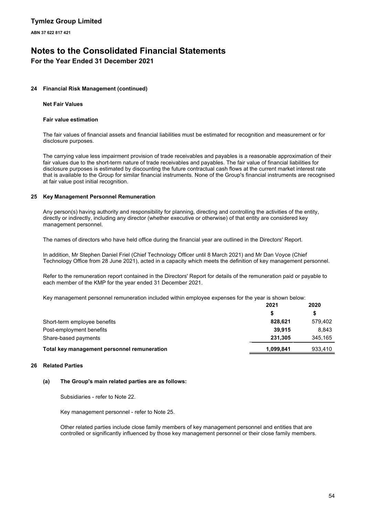# **Notes to the Consolidated Financial Statements**

**For the Year Ended 31 December 2021**

### **24 Financial Risk Management (continued)**

### **Net Fair Values**

### **Fair value estimation**

The fair values of financial assets and financial liabilities must be estimated for recognition and measurement or for disclosure purposes.

The carrying value less impairment provision of trade receivables and payables is a reasonable approximation of their fair values due to the short-term nature of trade receivables and payables. The fair value of financial liabilities for disclosure purposes is estimated by discounting the future contractual cash flows at the current market interest rate that is available to the Group for similar financial instruments. None of the Group's financial instruments are recognised at fair value post initial recognition.

### **25 Key Management Personnel Remuneration**

Any person(s) having authority and responsibility for planning, directing and controlling the activities of the entity, directly or indirectly, including any director (whether executive or otherwise) of that entity are considered key management personnel.

The names of directors who have held office during the financial year are outlined in the Directors' Report.

In addition, Mr Stephen Daniel Friel (Chief Technology Officer until 8 March 2021) and Mr Dan Voyce (Chief Technology Office from 28 June 2021), acted in a capacity which meets the definition of key management personnel.

Refer to the remuneration report contained in the Directors' Report for details of the remuneration paid or payable to each member of the KMP for the year ended 31 December 2021.

Key management personnel remuneration included within employee expenses for the year is shown below:

| 2021      | 2020    |
|-----------|---------|
|           | S       |
| 828.621   | 579.402 |
| 39.915    | 8.843   |
| 231.305   | 345,165 |
| 1,099,841 | 933,410 |
|           |         |

### **26 Related Parties**

### **(a) The Group's main related parties are as follows:**

Subsidiaries - refer to Note 22.

Key management personnel - refer to Note 25.

Other related parties include close family members of key management personnel and entities that are controlled or significantly influenced by those key management personnel or their close family members.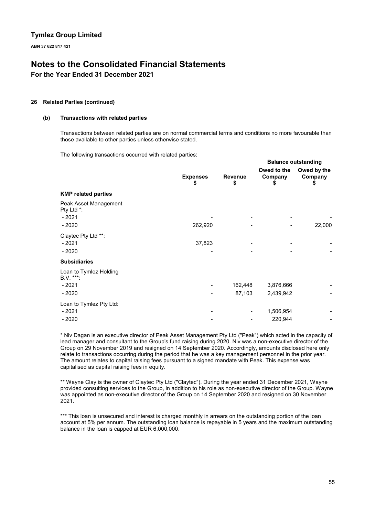**ABN 37 622 817 421**

# **Notes to the Consolidated Financial Statements**

**For the Year Ended 31 December 2021**

### **26 Related Parties (continued)**

### **(b) Transactions with related parties**

Transactions between related parties are on normal commercial terms and conditions no more favourable than those available to other parties unless otherwise stated.

The following transactions occurred with related parties:

|                                                           |                       |                      |                              | <b>Balance outstanding</b>   |
|-----------------------------------------------------------|-----------------------|----------------------|------------------------------|------------------------------|
|                                                           | <b>Expenses</b><br>\$ | <b>Revenue</b><br>\$ | Owed to the<br>Company<br>\$ | Owed by the<br>Company<br>\$ |
| <b>KMP related parties</b>                                |                       |                      |                              |                              |
| Peak Asset Management<br>Pty Ltd *:<br>$-2021$<br>$-2020$ | 262,920               |                      |                              | 22,000                       |
| Claytec Pty Ltd **:<br>$-2021$<br>$-2020$                 | 37,823                |                      |                              |                              |
| <b>Subsidiaries</b>                                       |                       |                      |                              |                              |
| Loan to Tymlez Holding<br>B.V. ***:<br>$-2021$<br>$-2020$ |                       | 162,448<br>87,103    | 3,876,666<br>2,439,942       |                              |
| Loan to Tymlez Pty Ltd:<br>$-2021$<br>$-2020$             |                       |                      | 1,506,954<br>220,944         |                              |

\* Niv Dagan is an executive director of Peak Asset Management Pty Ltd ("Peak") which acted in the capacity of lead manager and consultant to the Group's fund raising during 2020. Niv was a non-executive director of the Group on 29 November 2019 and resigned on 14 September 2020. Accordingly, amounts disclosed here only relate to transactions occurring during the period that he was a key management personnel in the prior year. The amount relates to capital raising fees pursuant to a signed mandate with Peak. This expense was capitalised as capital raising fees in equity.

\*\* Wayne Clay is the owner of Claytec Pty Ltd ("Claytec"). During the year ended 31 December 2021, Wayne provided consulting services to the Group, in addition to his role as non-executive director of the Group. Wayne was appointed as non-executive director of the Group on 14 September 2020 and resigned on 30 November 2021.

\*\*\* This loan is unsecured and interest is charged monthly in arrears on the outstanding portion of the loan account at 5% per annum. The outstanding loan balance is repayable in 5 years and the maximum outstanding balance in the loan is capped at EUR 6,000,000.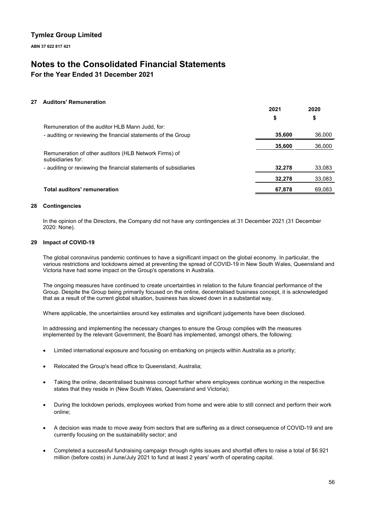**ABN 37 622 817 421**

# **Notes to the Consolidated Financial Statements**

**For the Year Ended 31 December 2021**

### **27 Auditors' Remuneration**

|                                                                            | ZUZ 1  | ZUZU   |
|----------------------------------------------------------------------------|--------|--------|
|                                                                            | \$     | \$     |
| Remuneration of the auditor HLB Mann Judd, for:                            |        |        |
| - auditing or reviewing the financial statements of the Group              | 35,600 | 36,000 |
|                                                                            | 35,600 | 36,000 |
| Remuneration of other auditors (HLB Network Firms) of<br>subsidiaries for: |        |        |
| - auditing or reviewing the financial statements of subsidiaries           | 32.278 | 33,083 |
|                                                                            | 32,278 | 33,083 |
| <b>Total auditors' remuneration</b>                                        | 67.878 | 69.083 |

**2021**

**2020**

### **28 Contingencies**

In the opinion of the Directors, the Company did not have any contingencies at 31 December 2021 (31 December 2020: None).

### **29 Impact of COVID-19**

The global coronavirus pandemic continues to have a significant impact on the global economy. In particular, the various restrictions and lockdowns aimed at preventing the spread of COVID-19 in New South Wales, Queensland and Victoria have had some impact on the Group's operations in Australia.

The ongoing measures have continued to create uncertainties in relation to the future financial performance of the Group. Despite the Group being primarily focused on the online, decentralised business concept, it is acknowledged that as a result of the current global situation, business has slowed down in a substantial way.

Where applicable, the uncertainties around key estimates and significant judgements have been disclosed.

In addressing and implementing the necessary changes to ensure the Group complies with the measures implemented by the relevant Government, the Board has implemented, amongst others, the following:

- Limited international exposure and focusing on embarking on projects within Australia as a priority;
- Relocated the Group's head office to Queensland, Australia;
- Taking the online, decentralised business concept further where employees continue working in the respective states that they reside in (New South Wales, Queensland and Victoria);
- During the lockdown periods, employees worked from home and were able to still connect and perform their work online;
- A decision was made to move away from sectors that are suffering as a direct consequence of COVID-19 and are currently focusing on the sustainability sector; and
- Completed a successful fundraising campaign through rights issues and shortfall offers to raise a total of \$6.921 million (before costs) in June/July 2021 to fund at least 2 years' worth of operating capital.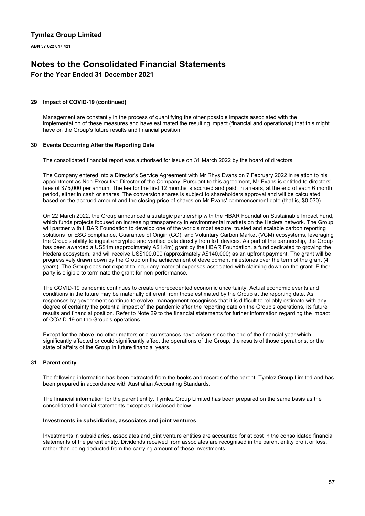# **Notes to the Consolidated Financial Statements**

## **For the Year Ended 31 December 2021**

### **29 Impact of COVID-19 (continued)**

Management are constantly in the process of quantifying the other possible impacts associated with the implementation of these measures and have estimated the resulting impact (financial and operational) that this might have on the Group's future results and financial position.

### **30 Events Occurring After the Reporting Date**

The consolidated financial report was authorised for issue on 31 March 2022 by the board of directors.

The Company entered into a Director's Service Agreement with Mr Rhys Evans on 7 February 2022 in relation to his appointment as Non-Executive Director of the Company. Pursuant to this agreement, Mr Evans is entitled to directors' fees of \$75,000 per annum. The fee for the first 12 months is accrued and paid, in arrears, at the end of each 6 month period, either in cash or shares. The conversion shares is subject to shareholders approval and will be calculated based on the accrued amount and the closing price of shares on Mr Evans' commencement date (that is, \$0.030).

On 22 March 2022, the Group announced a strategic partnership with the HBAR Foundation Sustainable Impact Fund, which funds projects focused on increasing transparency in environmental markets on the Hedera network. The Group will partner with HBAR Foundation to develop one of the world's most secure, trusted and scalable carbon reporting solutions for ESG compliance, Guarantee of Origin (GO), and Voluntary Carbon Market (VCM) ecosystems, leveraging the Group's ability to ingest encrypted and verified data directly from loT devices. As part of the partnership, the Group has been awarded a US\$1m (approximately A\$1.4m) grant by the HBAR Foundation, a fund dedicated to growing the Hedera ecosystem, and will receive US\$100,000 (approximately A\$140,000) as an upfront payment. The grant will be progressively drawn down by the Group on the achievement of development milestones over the term of the grant (4 years). The Group does not expect to incur any material expenses associated with claiming down on the grant. Either party is eligible to terminate the grant for non-performance.

The COVID-19 pandemic continues to create unprecedented economic uncertainty. Actual economic events and conditions in the future may be materially different from those estimated by the Group at the reporting date. As responses by government continue to evolve, management recognises that it is difficult to reliably estimate with any degree of certainty the potential impact of the pandemic after the reporting date on the Group's operations, its future results and financial position. Refer to Note 29 to the financial statements for further information regarding the impact of COVID-19 on the Group's operations.

Except for the above, no other matters or circumstances have arisen since the end of the financial year which significantly affected or could significantly affect the operations of the Group, the results of those operations, or the state of affairs of the Group in future financial years.

### **31 Parent entity**

The following information has been extracted from the books and records of the parent, Tymlez Group Limited and has been prepared in accordance with Australian Accounting Standards.

The financial information for the parent entity, Tymlez Group Limited has been prepared on the same basis as the consolidated financial statements except as disclosed below.

### **Investments in subsidiaries, associates and joint ventures**

Investments in subsidiaries, associates and joint venture entities are accounted for at cost in the consolidated financial statements of the parent entity. Dividends received from associates are recognised in the parent entity profit or loss, rather than being deducted from the carrying amount of these investments.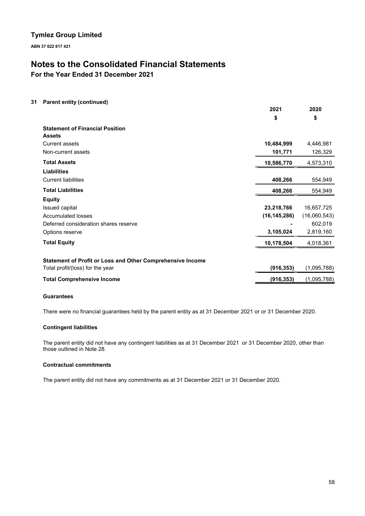**ABN 37 622 817 421**

# **Notes to the Consolidated Financial Statements**

**For the Year Ended 31 December 2021**

### **31 Parent entity (continued)**

| $\frac{1}{2}$ and $\frac{1}{2}$ . The state $\frac{1}{2}$  | 2021           | 2020         |
|------------------------------------------------------------|----------------|--------------|
|                                                            | \$             | \$           |
| <b>Statement of Financial Position</b>                     |                |              |
| <b>Assets</b>                                              |                |              |
| <b>Current assets</b>                                      | 10,484,999     | 4,446,981    |
| Non-current assets                                         | 101,771        | 126,329      |
| <b>Total Assets</b>                                        | 10,586,770     | 4,573,310    |
| <b>Liabilities</b>                                         |                |              |
| <b>Current liabilities</b>                                 | 408,266        | 554,949      |
| <b>Total Liabilities</b>                                   | 408,266        | 554,949      |
| <b>Equity</b>                                              |                |              |
| Issued capital                                             | 23,218,766     | 16,657,725   |
| Accumulated losses                                         | (16, 145, 286) | (16,060,543) |
| Deferred consideration shares reserve                      |                | 602,019      |
| Options reserve                                            | 3,105,024      | 2,819,160    |
| <b>Total Equity</b>                                        | 10,178,504     | 4,018,361    |
|                                                            |                |              |
| Statement of Profit or Loss and Other Comprehensive Income |                |              |
| Total profit/(loss) for the year                           | (916, 353)     | (1,095,788)  |
| <b>Total Comprehensive Income</b>                          | (916, 353)     | (1,095,788)  |

### **Guarantees**

There were no financial guarantees held by the parent entity as at 31 December 2021 or or 31 December 2020.

### **Contingent liabilities**

The parent entity did not have any contingent liabilities as at 31 December 2021 or 31 December 2020, other than those outlined in Note 28.

### **Contractual commitments**

The parent entity did not have any commitments as at 31 December 2021 or 31 December 2020.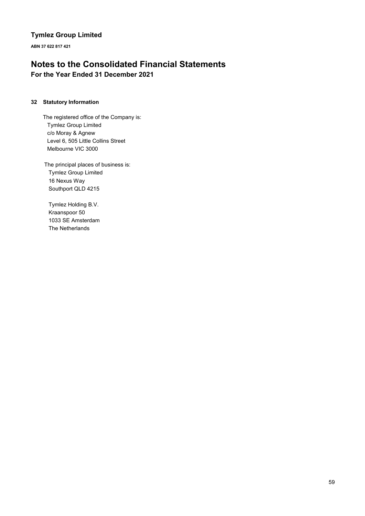**ABN 37 622 817 421**

# **Notes to the Consolidated Financial Statements For the Year Ended 31 December 2021**

### **32 Statutory Information**

The registered office of the Company is: Tymlez Group Limited c/o Moray & Agnew Level 6, 505 Little Collins Street Melbourne VIC 3000

The principal places of business is: Tymlez Group Limited 16 Nexus Way Southport QLD 4215

Tymlez Holding B.V. Kraanspoor 50 1033 SE Amsterdam The Netherlands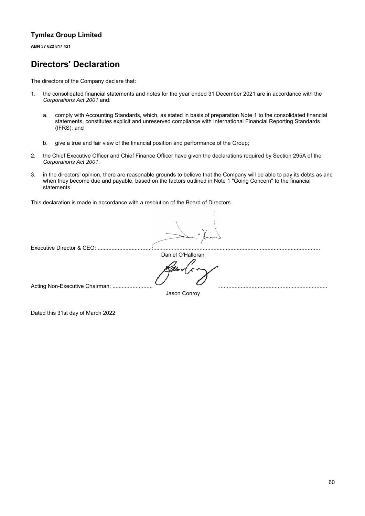**ABN 37 622 817 421**

# **Directors' Declaration**

The directors of the Company declare that:

- 1. the consolidated financial statements and notes for the year ended 31 December 2021 are in accordance with the *Corporations Act 2001* and:
	- a. comply with Accounting Standards, which, as stated in basis of preparation Note 1 to the consolidated financial statements, constitutes explicit and unreserved compliance with International Financial Reporting Standards (IFRS); and
	- b. give a true and fair view of the financial position and performance of the Group;
- 2. the Chief Executive Officer and Chief Finance Officer have given the declarations required by Section 295A of the *Corporations Act 2001*.
- 3. in the directors' opinion, there are reasonable grounds to believe that the Company will be able to pay its debts as and when they become due and payable, based on the factors outlined in Note 1 "Going Concern" to the financial statements.

This declaration is made in accordance with a resolution of the Board of Directors.

Executive Director & CEO: .......................

Daniel O'Halloran

Acting Non-Executive Chairman: ..........................

Jason Conroy

Dated this 31st day of March 2022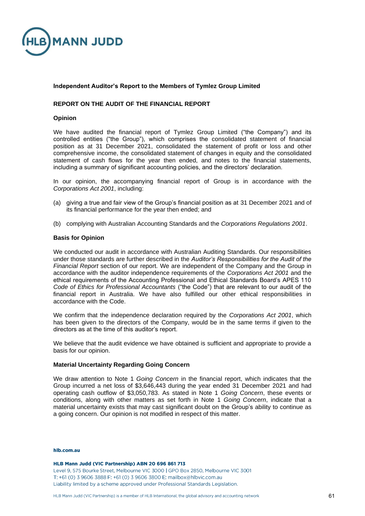

### **Independent Auditor's Report to the Members of Tymlez Group Limited**

### **REPORT ON THE AUDIT OF THE FINANCIAL REPORT**

### **Opinion**

We have audited the financial report of Tymlez Group Limited ("the Company") and its controlled entities ("the Group"), which comprises the consolidated statement of financial position as at 31 December 2021, consolidated the statement of profit or loss and other comprehensive income, the consolidated statement of changes in equity and the consolidated statement of cash flows for the year then ended, and notes to the financial statements, including a summary of significant accounting policies, and the directors' declaration.

In our opinion, the accompanying financial report of Group is in accordance with the *Corporations Act 2001*, including:

- (a) giving a true and fair view of the Group's financial position as at 31 December 2021 and of its financial performance for the year then ended; and
- (b) complying with Australian Accounting Standards and the *Corporations Regulations 2001*.

### **Basis for Opinion**

We conducted our audit in accordance with Australian Auditing Standards. Our responsibilities under those standards are further described in the *Auditor's Responsibilities for the Audit of the Financial Report* section of our report. We are independent of the Company and the Group in accordance with the auditor independence requirements of the *Corporations Act 2001* and the ethical requirements of the Accounting Professional and Ethical Standards Board's APES 110 *Code of Ethics for Professional Accountants* ("the Code") that are relevant to our audit of the financial report in Australia. We have also fulfilled our other ethical responsibilities in accordance with the Code.

We confirm that the independence declaration required by the *Corporations Act 2001*, which has been given to the directors of the Company, would be in the same terms if given to the directors as at the time of this auditor's report.

We believe that the audit evidence we have obtained is sufficient and appropriate to provide a basis for our opinion.

### **Material Uncertainty Regarding Going Concern**

We draw attention to Note 1 *Going Concern* in the financial report, which indicates that the Group incurred a net loss of \$3,646,443 during the year ended 31 December 2021 and had operating cash outflow of \$3,050,783. As stated in Note 1 *Going Concern*, these events or conditions, along with other matters as set forth in Note 1 *Going Concern*, indicate that a material uncertainty exists that may cast significant doubt on the Group's ability to continue as a going concern. Our opinion is not modified in respect of this matter.

#### hlh com au

#### HLB Mann Judd (VIC Partnership) ABN 20 696 861 713

Level 9, 575 Bourke Street, Melbourne VIC 3000 | GPO Box 2850, Melbourne VIC 3001 T: +61 (0) 3 9606 3888 F: +61 (0) 3 9606 3800 E: mailbox@hlbvic.com.au Liability limited by a scheme approved under Professional Standards Legislation.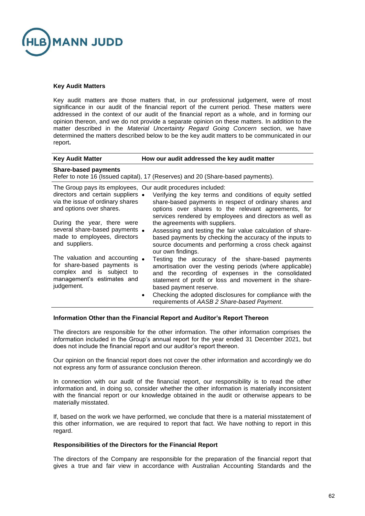

### **Key Audit Matters**

Key audit matters are those matters that, in our professional judgement, were of most significance in our audit of the financial report of the current period. These matters were addressed in the context of our audit of the financial report as a whole, and in forming our opinion thereon, and we do not provide a separate opinion on these matters. In addition to the matter described in the *Material Uncertainty Regard Going Concern* section, we have determined the matters described below to be the key audit matters to be communicated in our report**.**

| <b>Key Audit Matter</b>                                                                                                                                           | How our audit addressed the key audit matter                                                                                                                                                                                                                                                                                                                                  |
|-------------------------------------------------------------------------------------------------------------------------------------------------------------------|-------------------------------------------------------------------------------------------------------------------------------------------------------------------------------------------------------------------------------------------------------------------------------------------------------------------------------------------------------------------------------|
| <b>Share-based payments</b>                                                                                                                                       | Refer to note 16 (Issued capital), 17 (Reserves) and 20 (Share-based payments).                                                                                                                                                                                                                                                                                               |
| The Group pays its employees, Our audit procedures included:<br>directors and certain suppliers •<br>via the issue of ordinary shares<br>and options over shares. | Verifying the key terms and conditions of equity settled<br>share-based payments in respect of ordinary shares and<br>options over shares to the relevant agreements, for<br>services rendered by employees and directors as well as                                                                                                                                          |
| During the year, there were<br>several share-based payments •<br>made to employees, directors<br>and suppliers.                                                   | the agreements with suppliers.<br>Assessing and testing the fair value calculation of share-<br>based payments by checking the accuracy of the inputs to<br>source documents and performing a cross check against<br>our own findings.                                                                                                                                        |
| The valuation and accounting •<br>for share-based payments is<br>complex and is subject to<br>management's estimates and<br>judgement.                            | Testing the accuracy of the share-based payments<br>amortisation over the vesting periods (where applicable)<br>and the recording of expenses in the consolidated<br>statement of profit or loss and movement in the share-<br>based payment reserve.<br>Checking the adopted disclosures for compliance with the<br>$\bullet$<br>requirements of AASB 2 Share-based Payment. |

### **Information Other than the Financial Report and Auditor's Report Thereon**

The directors are responsible for the other information. The other information comprises the information included in the Group's annual report for the year ended 31 December 2021, but does not include the financial report and our auditor's report thereon.

Our opinion on the financial report does not cover the other information and accordingly we do not express any form of assurance conclusion thereon.

In connection with our audit of the financial report, our responsibility is to read the other information and, in doing so, consider whether the other information is materially inconsistent with the financial report or our knowledge obtained in the audit or otherwise appears to be materially misstated.

If, based on the work we have performed, we conclude that there is a material misstatement of this other information, we are required to report that fact. We have nothing to report in this regard.

### **Responsibilities of the Directors for the Financial Report**

The directors of the Company are responsible for the preparation of the financial report that gives a true and fair view in accordance with Australian Accounting Standards and the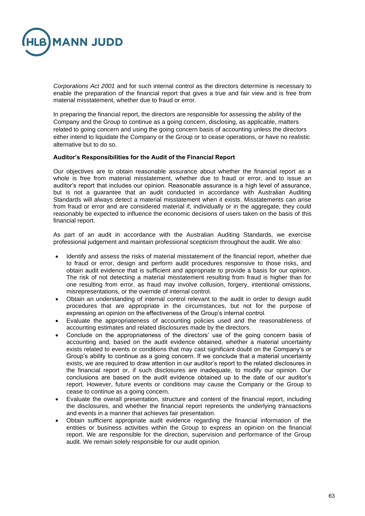

*Corporations Act 2001* and for such internal control as the directors determine is necessary to enable the preparation of the financial report that gives a true and fair view and is free from material misstatement, whether due to fraud or error.

In preparing the financial report, the directors are responsible for assessing the ability of the Company and the Group to continue as a going concern, disclosing, as applicable, matters related to going concern and using the going concern basis of accounting unless the directors either intend to liquidate the Company or the Group or to cease operations, or have no realistic alternative but to do so.

### **Auditor's Responsibilities for the Audit of the Financial Report**

Our objectives are to obtain reasonable assurance about whether the financial report as a whole is free from material misstatement, whether due to fraud or error, and to issue an auditor's report that includes our opinion. Reasonable assurance is a high level of assurance, but is not a guarantee that an audit conducted in accordance with Australian Auditing Standards will always detect a material misstatement when it exists. Misstatements can arise from fraud or error and are considered material if, individually or in the aggregate, they could reasonably be expected to influence the economic decisions of users taken on the basis of this financial report.

As part of an audit in accordance with the Australian Auditing Standards, we exercise professional judgement and maintain professional scepticism throughout the audit. We also:

- Identify and assess the risks of material misstatement of the financial report, whether due to fraud or error, design and perform audit procedures responsive to those risks, and obtain audit evidence that is sufficient and appropriate to provide a basis for our opinion. The risk of not detecting a material misstatement resulting from fraud is higher than for one resulting from error, as fraud may involve collusion, forgery, intentional omissions, misrepresentations, or the override of internal control.
- Obtain an understanding of internal control relevant to the audit in order to design audit procedures that are appropriate in the circumstances, but not for the purpose of expressing an opinion on the effectiveness of the Group's internal control.
- Evaluate the appropriateness of accounting policies used and the reasonableness of accounting estimates and related disclosures made by the directors.
- Conclude on the appropriateness of the directors' use of the going concern basis of accounting and, based on the audit evidence obtained, whether a material uncertainty exists related to events or conditions that may cast significant doubt on the Company's or Group's ability to continue as a going concern. If we conclude that a material uncertainty exists, we are required to draw attention in our auditor's report to the related disclosures in the financial report or, if such disclosures are inadequate, to modify our opinion. Our conclusions are based on the audit evidence obtained up to the date of our auditor's report. However, future events or conditions may cause the Company or the Group to cease to continue as a going concern.
- Evaluate the overall presentation, structure and content of the financial report, including the disclosures, and whether the financial report represents the underlying transactions and events in a manner that achieves fair presentation.
- Obtain sufficient appropriate audit evidence regarding the financial information of the entities or business activities within the Group to express an opinion on the financial report. We are responsible for the direction, supervision and performance of the Group audit. We remain solely responsible for our audit opinion.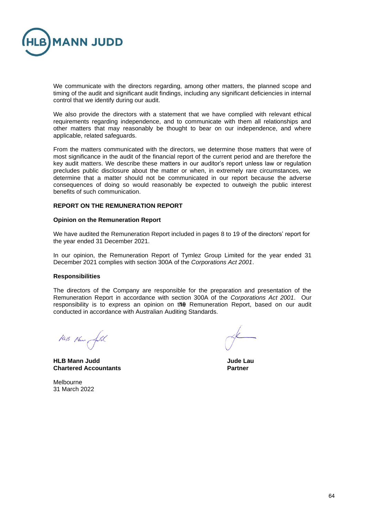

We communicate with the directors regarding, among other matters, the planned scope and timing of the audit and significant audit findings, including any significant deficiencies in internal control that we identify during our audit.

We also provide the directors with a statement that we have complied with relevant ethical requirements regarding independence, and to communicate with them all relationships and other matters that may reasonably be thought to bear on our independence, and where applicable, related safeguards.

From the matters communicated with the directors, we determine those matters that were of most significance in the audit of the financial report of the current period and are therefore the key audit matters. We describe these matters in our auditor's report unless law or regulation precludes public disclosure about the matter or when, in extremely rare circumstances, we determine that a matter should not be communicated in our report because the adverse consequences of doing so would reasonably be expected to outweigh the public interest benefits of such communication.

### **REPORT ON THE REMUNERATION REPORT**

### **Opinion on the Remuneration Report**

We have audited the Remuneration Report included in pages 8 to 19 of the directors' report for the year ended 31 December 2021.

In our opinion, the Remuneration Report of Tymlez Group Limited for the year ended 31 December 2021 complies with section 300A of the *Corporations Act 2001*.

### **Responsibilities**

The directors of the Company are responsible for the preparation and presentation of the Remuneration Report in accordance with section 300A of the *Corporations Act 2001*. Our responsibility is to express an opinion on the Remuneration Report, based on our audit conducted in accordance with Australian Auditing Standards.

HUB Henry full

**HLB Mann Judd Jude Lau Chartered Accountants Partner** 

Melbourne 31 March 2022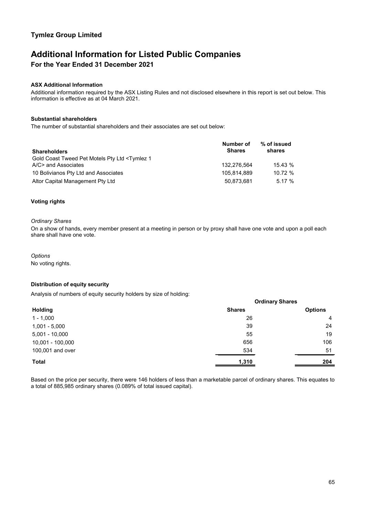# **Additional Information for Listed Public Companies For the Year Ended 31 December 2021**

### **ASX Additional Information**

Additional information required by the ASX Listing Rules and not disclosed elsewhere in this report is set out below. This information is effective as at 04 March 2021.

### **Substantial shareholders**

The number of substantial shareholders and their associates are set out below:

| <b>Shareholders</b>                                                                 | Number of<br><b>Shares</b> | % of issued<br>shares |  |
|-------------------------------------------------------------------------------------|----------------------------|-----------------------|--|
| Gold Coast Tweed Pet Motels Pty Ltd <tymlez 1<br="">A/C&gt; and Associates</tymlez> | 132.276.564                | 15.43%                |  |
| 10 Bolivianos Pty Ltd and Associates                                                | 105.814.889                | 10.72%                |  |
| Altor Capital Management Pty Ltd                                                    | 50.873.681                 | 5.17%                 |  |

### **Voting rights**

### *Ordinary Shares*

On a show of hands, every member present at a meeting in person or by proxy shall have one vote and upon a poll each share shall have one vote.

*Options* No voting rights.

### **Distribution of equity security**

Analysis of numbers of equity security holders by size of holding:

|                  | <b>Ordinary Shares</b> |                |
|------------------|------------------------|----------------|
| <b>Holding</b>   | <b>Shares</b>          | <b>Options</b> |
| $1 - 1,000$      | 26                     | 4              |
| $1,001 - 5,000$  | 39                     | 24             |
| $5,001 - 10,000$ | 55                     | 19             |
| 10,001 - 100,000 | 656                    | 106            |
| 100,001 and over | 534                    | 51             |
| <b>Total</b>     | 1,310                  | 204            |

Based on the price per security, there were 146 holders of less than a marketable parcel of ordinary shares. This equates to a total of 885,985 ordinary shares (0.089% of total issued capital).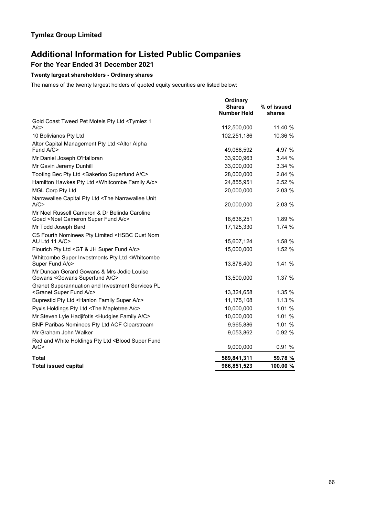# **Additional Information for Listed Public Companies**

# **For the Year Ended 31 December 2021**

### **Twenty largest shareholders - Ordinary shares**

The names of the twenty largest holders of quoted equity securities are listed below:

|                                                                                                           | Ordinary<br><b>Shares</b><br><b>Number Held</b> | % of issued<br>shares |
|-----------------------------------------------------------------------------------------------------------|-------------------------------------------------|-----------------------|
| Gold Coast Tweed Pet Motels Pty Ltd <tymlez 1<br="">A/c</tymlez>                                          | 112,500,000                                     | 11.40 %               |
| 10 Bolivianos Pty Ltd                                                                                     | 102,251,186                                     | 10.36 %               |
| Altor Capital Management Pty Ltd <altor alpha<="" td=""><td></td><td></td></altor>                        |                                                 |                       |
| Fund A/C>                                                                                                 | 49,066,592                                      | 4.97 %                |
| Mr Daniel Joseph O'Halloran                                                                               | 33,900,963                                      | 3.44%                 |
| Mr Gavin Jeremy Dunhill                                                                                   | 33,000,000                                      | 3.34 %                |
| Tooting Bec Pty Ltd <bakerloo a="" c="" superfund=""></bakerloo>                                          | 28,000,000                                      | 2.84%                 |
| Hamilton Hawkes Pty Ltd <whitcombe a="" c="" family=""></whitcombe>                                       | 24,855,951                                      | 2.52 %                |
| <b>MGL Corp Pty Ltd</b>                                                                                   | 20,000,000                                      | 2.03 %                |
| Narrawallee Capital Pty Ltd <the narrawallee="" unit<br="">A/C</the>                                      | 20,000,000                                      | 2.03 %                |
| Mr Noel Russell Cameron & Dr Belinda Caroline<br>Goad <noel a="" c="" cameron="" fund="" super=""></noel> | 18,636,251                                      | 1.89 %                |
| Mr Todd Joseph Bard                                                                                       | 17,125,330                                      | 1.74%                 |
| CS Fourth Nominees Pty Limited <hsbc cust="" nom<br="">AU Ltd 11 A/C&gt;</hsbc>                           | 15,607,124                                      | 1.58%                 |
| Flourich Pty Ltd < GT & JH Super Fund A/c>                                                                | 15,000,000                                      | 1.52%                 |
| Whitcombe Super Investments Pty Ltd <whitcombe<br>Super Fund A/c&gt;</whitcombe<br>                       | 13,878,400                                      | 1.41%                 |
| Mr Duncan Gerard Gowans & Mrs Jodie Louise<br>Gowans < Gowans Superfund A/C>                              | 13,500,000                                      | 1.37 %                |
| Granet Superannuation and Investment Services PL<br><granet a="" c="" fund="" super=""></granet>          | 13,324,658                                      | 1.35 %                |
| Buprestid Pty Ltd <hanlon a="" c="" family="" super=""></hanlon>                                          | 11,175,108                                      | 1.13 %                |
| Pyxis Holdings Pty Ltd <the a="" c="" mapletree=""></the>                                                 | 10,000,000                                      | 1.01 %                |
| Mr Steven Lyle Hadjifotis <hudgies a="" c="" family=""></hudgies>                                         | 10,000,000                                      | 1.01%                 |
| BNP Paribas Nominees Pty Ltd ACF Clearstream                                                              | 9,965,886                                       | 1.01%                 |
| Mr Graham John Walker                                                                                     | 9,053,862                                       | 0.92 %                |
| Red and White Holdings Pty Ltd <blood fund<="" super="" td=""><td></td><td></td></blood>                  |                                                 |                       |
| A/C                                                                                                       | 9,000,000                                       | 0.91%                 |
| Total                                                                                                     | 589,841,311                                     | 59.78 %               |
| <b>Total issued capital</b>                                                                               | 986,851,523                                     | 100.00 %              |